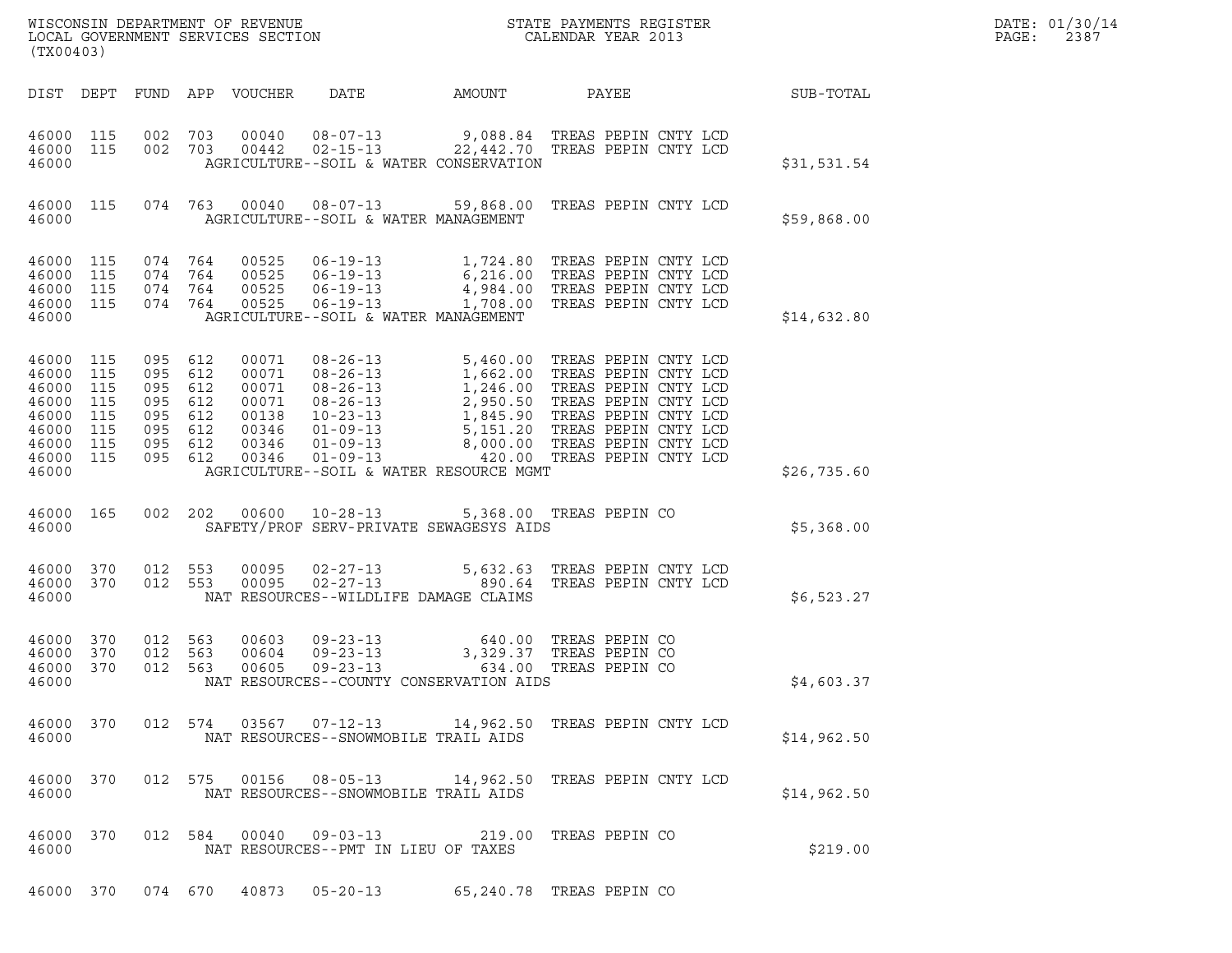| (TX00403)                                                                                                     |            |                                                                                      |                               |                                                                      |                                                               |                                                                                                                                                                                                                                                                                                 |                          |                            | DATE: 01/30/14<br>PAGE:<br>2387 |  |
|---------------------------------------------------------------------------------------------------------------|------------|--------------------------------------------------------------------------------------|-------------------------------|----------------------------------------------------------------------|---------------------------------------------------------------|-------------------------------------------------------------------------------------------------------------------------------------------------------------------------------------------------------------------------------------------------------------------------------------------------|--------------------------|----------------------------|---------------------------------|--|
|                                                                                                               |            |                                                                                      |                               | DIST DEPT FUND APP VOUCHER                                           | DATE                                                          | AMOUNT                                                                                                                                                                                                                                                                                          |                          | <b>PAYEE</b> FOR THE PAYEE | SUB-TOTAL                       |  |
| 46000 115<br>46000 115<br>46000                                                                               |            |                                                                                      |                               |                                                                      |                                                               | 002 703 00040 08-07-13 9,088.84 TREAS PEPIN CNTY LCD<br>002 703 00442 02-15-13 22,442.70 TREAS PEPIN CNTY LCD<br>AGRICULTURE--SOIL & WATER CONSERVATION                                                                                                                                         |                          |                            | \$31,531.54                     |  |
| 46000 115<br>46000                                                                                            |            |                                                                                      |                               |                                                                      |                                                               | 074  763  00040  08-07-13  59,868.00  TREAS PEPIN CNTY LCD<br>AGRICULTURE--SOIL & WATER MANAGEMENT                                                                                                                                                                                              |                          |                            | \$59,868.00                     |  |
| 46000 115<br>46000 115<br>46000 115<br>46000 115<br>46000                                                     |            |                                                                                      | 074 764<br>074 764<br>074 764 | 074 764 00525                                                        | AGRICULTURE--SOIL & WATER MANAGEMENT                          | 00525 06-19-13 1,724.80 TREAS PEPIN CNTY LCD<br>00525 06-19-13 6,216.00 TREAS PEPIN CNTY LCD<br>00525 06-19-13 4,984.00 TREAS PEPIN CNTY LCD<br>00525 06-19-13 1,708.00 TREAS PEPIN CNTY LCD                                                                                                    |                          |                            | \$14,632.80                     |  |
| 46000 115<br>46000 115<br>46000 115<br>46000 115<br>46000 115<br>46000 115<br>46000 115<br>46000 115<br>46000 |            | 095 612<br>095 612<br>095 612<br>095 612<br>095 612<br>095 612<br>095 612<br>095 612 |                               | 00071<br>00071<br>00071<br>00071<br>00138<br>00346<br>00346<br>00346 |                                                               | 08-26-13<br>08-26-13<br>1,662.00 TREAS PEPIN CNTY LCD<br>08-26-13<br>1,246.00 TREAS PEPIN CNTY LCD<br>08-26-13<br>2,950.50 TREAS PEPIN CNTY LCD<br>10-23-13<br>1,845.90 TREAS PEPIN CNTY LCD<br>01-09-13<br>8,000.00 TREAS PEPIN CNTY LCD<br>01-09-1<br>AGRICULTURE--SOIL & WATER RESOURCE MGMT |                          |                            | \$26,735.60                     |  |
| 46000 165<br>46000                                                                                            |            |                                                                                      |                               |                                                                      | 002 202 00600 10-28-13                                        | SAFETY/PROF SERV-PRIVATE SEWAGESYS AIDS                                                                                                                                                                                                                                                         | 5,368.00 TREAS PEPIN CO  |                            | \$5,368.00                      |  |
| 46000 370<br>46000 370<br>46000                                                                               |            |                                                                                      | 012 553                       | 00095<br>012 553 00095                                               |                                                               | 02-27-13 5,632.63 TREAS PEPIN CNTY LCD<br>02-27-13 890.64 TREAS PEPIN CNTY LCD<br>NAT RESOURCES--WILDLIFE DAMAGE CLAIMS                                                                                                                                                                         |                          |                            | \$6,523.27                      |  |
| 46000 370<br>46000<br>46000<br>46000                                                                          | 370<br>370 | 012 563<br>012<br>012 563                                                            | 563                           | 00603<br>00604<br>00605                                              | $09 - 23 - 13$                                                | 09-23-13 640.00 TREAS PEPIN CO<br>09-23-13 3,329.37 TREAS PEPIN CO<br>NAT RESOURCES--COUNTY CONSERVATION AIDS                                                                                                                                                                                   | 634.00 TREAS PEPIN CO    |                            | \$4,603.37                      |  |
| 46000 370<br>46000                                                                                            |            |                                                                                      |                               |                                                                      | NAT RESOURCES--SNOWMOBILE TRAIL AIDS                          | 012 574 03567 07-12-13 14,962.50 TREAS PEPIN CNTY LCD                                                                                                                                                                                                                                           |                          |                            | \$14,962.50                     |  |
| 46000 370<br>46000                                                                                            |            |                                                                                      |                               |                                                                      | NAT RESOURCES--SNOWMOBILE TRAIL AIDS                          | 012 575 00156 08-05-13 14,962.50 TREAS PEPIN CNTY LCD                                                                                                                                                                                                                                           |                          |                            | \$14,962.50                     |  |
| 46000 370<br>46000                                                                                            |            |                                                                                      |                               |                                                                      | 012 584 00040 09-03-13<br>NAT RESOURCES--PMT IN LIEU OF TAXES |                                                                                                                                                                                                                                                                                                 | 219.00 TREAS PEPIN CO    |                            | \$219.00                        |  |
|                                                                                                               |            |                                                                                      |                               | 46000 370 074 670 40873                                              | $05 - 20 - 13$                                                |                                                                                                                                                                                                                                                                                                 | 65,240.78 TREAS PEPIN CO |                            |                                 |  |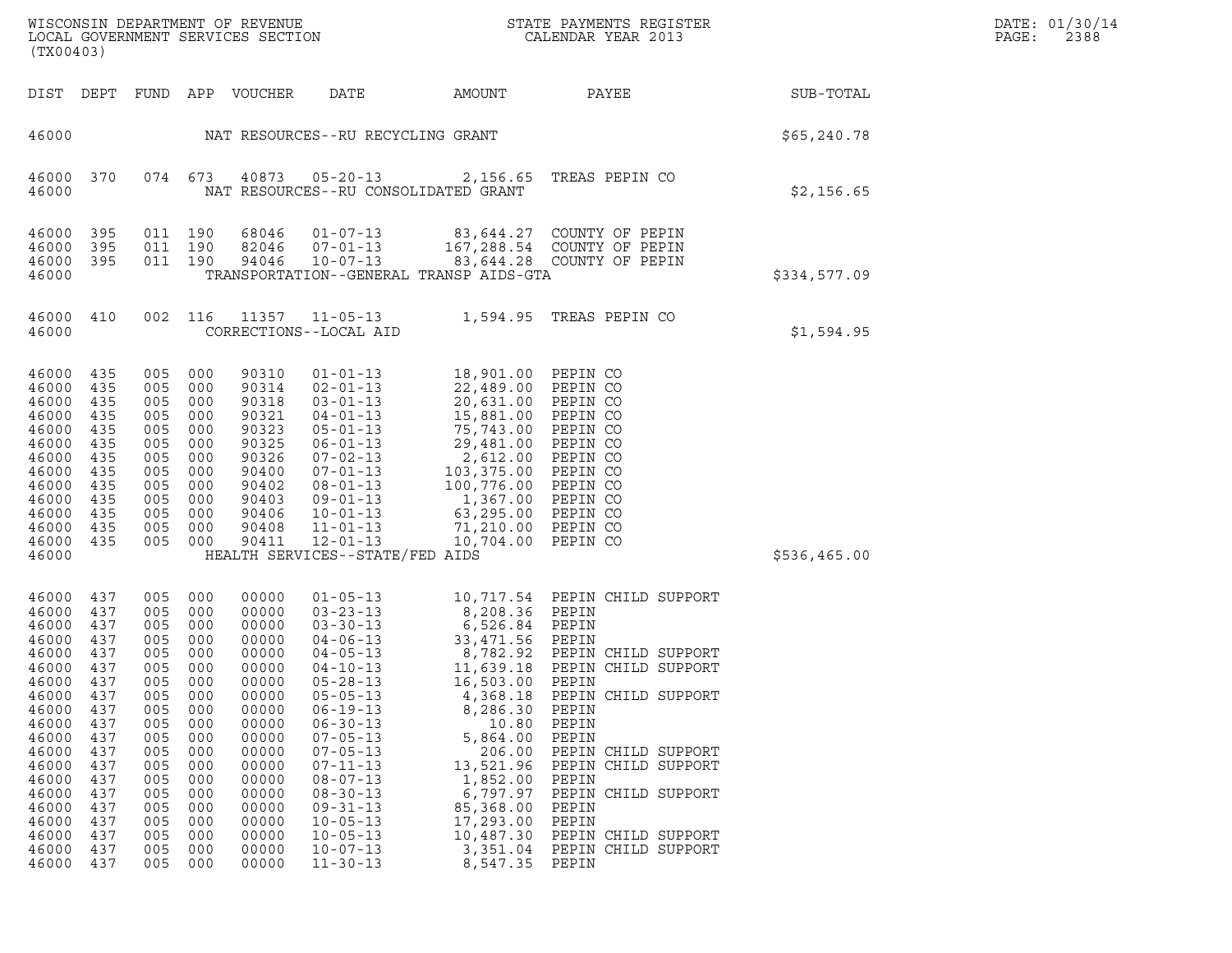| WISCONSIN DEPARTMENT OF REVENUE<br>LOCAL GOVERNMENT SERVICES SECTION<br>(TX00403)                                                                                                                                                                                                                                         |                                                                                                                                          |                                                                                                                                          |                                                                                                                                                                                  |                                                                                                                                                                                                                                                                                                                                                                      |                                                                                                                                                                                                                                          | STATE PAYMENTS REGISTER<br>CALENDAR YEAR 2013                                                                                                                                                                                                                                                          |              | DATE: 01/30/14<br>PAGE:<br>2388 |
|---------------------------------------------------------------------------------------------------------------------------------------------------------------------------------------------------------------------------------------------------------------------------------------------------------------------------|------------------------------------------------------------------------------------------------------------------------------------------|------------------------------------------------------------------------------------------------------------------------------------------|----------------------------------------------------------------------------------------------------------------------------------------------------------------------------------|----------------------------------------------------------------------------------------------------------------------------------------------------------------------------------------------------------------------------------------------------------------------------------------------------------------------------------------------------------------------|------------------------------------------------------------------------------------------------------------------------------------------------------------------------------------------------------------------------------------------|--------------------------------------------------------------------------------------------------------------------------------------------------------------------------------------------------------------------------------------------------------------------------------------------------------|--------------|---------------------------------|
| DIST DEPT                                                                                                                                                                                                                                                                                                                 |                                                                                                                                          |                                                                                                                                          | FUND APP VOUCHER                                                                                                                                                                 | DATE                                                                                                                                                                                                                                                                                                                                                                 | AMOUNT                                                                                                                                                                                                                                   | PAYEE                                                                                                                                                                                                                                                                                                  | SUB-TOTAL    |                                 |
| 46000                                                                                                                                                                                                                                                                                                                     |                                                                                                                                          |                                                                                                                                          |                                                                                                                                                                                  | NAT RESOURCES--RU RECYCLING GRANT                                                                                                                                                                                                                                                                                                                                    |                                                                                                                                                                                                                                          |                                                                                                                                                                                                                                                                                                        | \$65,240.78  |                                 |
| 46000<br>370<br>46000                                                                                                                                                                                                                                                                                                     |                                                                                                                                          | 074 673                                                                                                                                  | 40873                                                                                                                                                                            | $05 - 20 - 13$<br>NAT RESOURCES--RU CONSOLIDATED GRANT                                                                                                                                                                                                                                                                                                               |                                                                                                                                                                                                                                          | 2,156.65 TREAS PEPIN CO                                                                                                                                                                                                                                                                                | \$2,156.65   |                                 |
| 46000<br>395<br>46000<br>395<br>46000 395<br>46000                                                                                                                                                                                                                                                                        |                                                                                                                                          | 011 190<br>011 190<br>011 190                                                                                                            | 68046<br>82046<br>94046                                                                                                                                                          | $01 - 07 - 13$<br>$07 - 01 - 13$<br>$10 - 07 - 13$                                                                                                                                                                                                                                                                                                                   | TRANSPORTATION--GENERAL TRANSP AIDS-GTA                                                                                                                                                                                                  | 83,644.27 COUNTY OF PEPIN<br>167,288.54 COUNTY OF PEPIN<br>83,644.28 COUNTY OF PEPIN                                                                                                                                                                                                                   | \$334,577.09 |                                 |
| 46000<br>410<br>46000                                                                                                                                                                                                                                                                                                     | 002                                                                                                                                      | 116                                                                                                                                      |                                                                                                                                                                                  | 11357 11-05-13<br>CORRECTIONS--LOCAL AID                                                                                                                                                                                                                                                                                                                             |                                                                                                                                                                                                                                          | 1,594.95 TREAS PEPIN CO                                                                                                                                                                                                                                                                                | \$1,594.95   |                                 |
| 435<br>46000<br>46000<br>435<br>46000<br>435<br>46000<br>435<br>46000<br>435<br>46000<br>435<br>46000<br>435<br>46000<br>435<br>46000<br>435<br>46000<br>435<br>46000<br>435<br>46000 435<br>46000 435<br>46000                                                                                                           | 005<br>005<br>005<br>005<br>005<br>005<br>005<br>005<br>005<br>005<br>005<br>005<br>005                                                  | 000<br>000<br>000<br>000<br>000<br>000<br>000<br>000<br>000<br>000<br>000<br>000<br>000                                                  | 90310<br>90314<br>90318<br>90321<br>90323<br>90325<br>90326<br>90400<br>90402<br>90403<br>90406<br>90408<br>90411                                                                | $01 - 01 - 13$<br>$02 - 01 - 13$<br>$03 - 01 - 13$<br>$04 - 01 - 13$<br>$05 - 01 - 13$<br>$06 - 01 - 13$<br>$07 - 02 - 13$<br>$07 - 01 - 13$<br>$08 - 01 - 13$<br>$09 - 01 - 13$<br>$10 - 01 - 13$<br>$11 - 01 - 13$<br>$12 - 01 - 13$<br>HEALTH SERVICES--STATE/FED AIDS                                                                                            | 18,901.00 PEPIN CO<br>22,489.00 PEPIN CO<br>20,631.00 PEPIN CO<br>15,881.00<br>75,743.00<br>29,481.00<br>2,612.00<br>103,375.00<br>100,776.00<br>1,367.00 PEPIN CO<br>63,295.00<br>71,210.00<br>10,704.00                                | PEPIN CO<br>PEPIN CO<br>PEPIN CO<br>PEPIN CO<br>PEPIN CO<br>PEPIN CO<br>PEPIN CO<br>PEPIN CO<br>PEPIN CO                                                                                                                                                                                               | \$536,465.00 |                                 |
| 46000<br>437<br>46000<br>437<br>46000<br>437<br>46000<br>437<br>46000<br>437<br>46000 437<br>46000<br>437<br>46000<br>437<br>46000<br>437<br>46000<br>437<br>46000<br>437<br>46000<br>437<br>46000<br>437<br>46000<br>437<br>46000<br>437<br>46000<br>437<br>46000<br>437<br>46000<br>437<br>46000<br>437<br>46000<br>437 | 005<br>005<br>005<br>005<br>005<br>005<br>005<br>005<br>005<br>005<br>005<br>005<br>005<br>005<br>005<br>005<br>005<br>005<br>005<br>005 | 000<br>000<br>000<br>000<br>000<br>000<br>000<br>000<br>000<br>000<br>000<br>000<br>000<br>000<br>000<br>000<br>000<br>000<br>000<br>000 | 00000<br>00000<br>00000<br>00000<br>00000<br>00000<br>00000<br>00000<br>00000<br>00000<br>00000<br>00000<br>00000<br>00000<br>00000<br>00000<br>00000<br>00000<br>00000<br>00000 | $01 - 05 - 13$<br>$03 - 23 - 13$<br>$03 - 30 - 13$<br>$04 - 06 - 13$<br>$04 - 05 - 13$<br>$04 - 10 - 13$<br>$05 - 28 - 13$<br>$05 - 05 - 13$<br>$06 - 19 - 13$<br>$06 - 30 - 13$<br>$07 - 05 - 13$<br>$07 - 05 - 13$<br>$07 - 11 - 13$<br>$08 - 07 - 13$<br>$08 - 30 - 13$<br>$09 - 31 - 13$<br>$10 - 05 - 13$<br>$10 - 05 - 13$<br>$10 - 07 - 13$<br>$11 - 30 - 13$ | 8,208.36 PEPIN<br>6,526.84 PEPIN<br>33,471.56 PEPIN<br>11,639.18<br>16,503.00<br>4,368.18<br>8,286.30<br>10.80<br>5,864.00<br>206.00<br>13,521.96<br>1,852.00<br>6,797.97<br>85,368.00<br>17,293.00<br>10,487.30<br>3,351.04<br>8,547.35 | 10,717.54 PEPIN CHILD SUPPORT<br>8,782.92 PEPIN CHILD SUPPORT<br>PEPIN CHILD SUPPORT<br>PEPIN<br>PEPIN CHILD SUPPORT<br>PEPIN<br>PEPIN<br>PEPIN<br>PEPIN CHILD SUPPORT<br>PEPIN CHILD SUPPORT<br>PEPIN<br>PEPIN CHILD SUPPORT<br>PEPIN<br>PEPIN<br>PEPIN CHILD SUPPORT<br>PEPIN CHILD SUPPORT<br>PEPIN |              |                                 |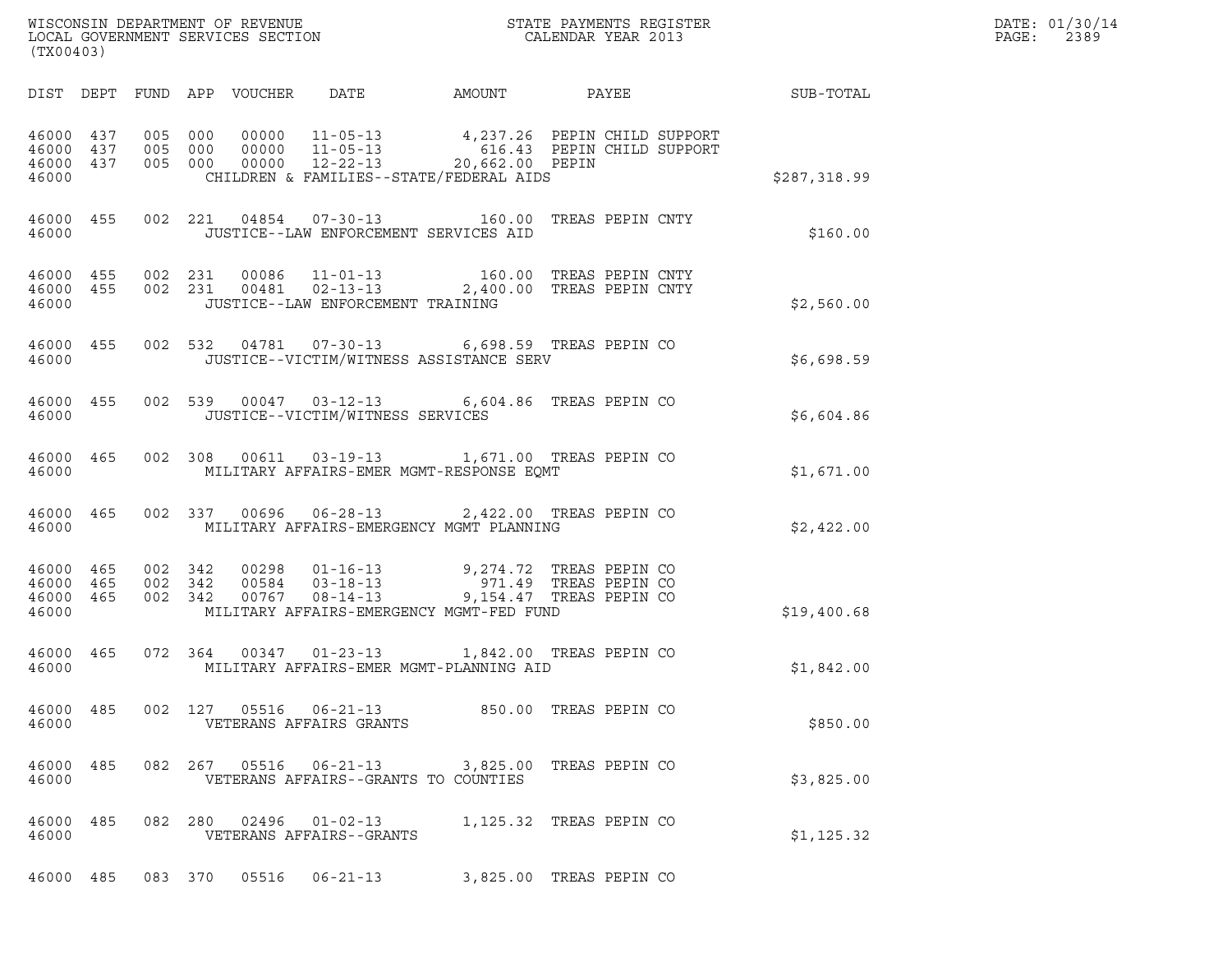| DATE: | 01/30/14 |
|-------|----------|
| PAGE: | 2389     |

| (TX00403)                                                                                                                                                                                                                                                                                                                                    |              | DATE: 01/30/14<br>PAGE:<br>2389 |
|----------------------------------------------------------------------------------------------------------------------------------------------------------------------------------------------------------------------------------------------------------------------------------------------------------------------------------------------|--------------|---------------------------------|
| DIST DEPT FUND APP VOUCHER DATE AMOUNT<br>PAYEE SUB-TOTAL                                                                                                                                                                                                                                                                                    |              |                                 |
| 005 000 00000 11-05-13 4,237.26 PEPIN CHILD SUPPORT<br>005 000 00000 11-05-13 616.43 PEPIN CHILD SUPPORT<br>005 000 00000 12-22-13 ----- 20,662.00 PEPIN<br>46000 437<br>46000 437<br>46000 437<br>CHILDREN & FAMILIES--STATE/FEDERAL AIDS<br>46000                                                                                          | \$287,318.99 |                                 |
| 46000 455 002 221 04854 07-30-13 160.00 TREAS PEPIN CNTY<br>46000<br>JUSTICE--LAW ENFORCEMENT SERVICES AID                                                                                                                                                                                                                                   | \$160.00     |                                 |
| $\begin{array}{cccccccc} 4\,6\,0\,0\,0 & 4\,5\,5 & 0\,0\,2 & 2\,3\,1 & 0\,0\,0\,8\,6 & 11\,{-}\,01\,{-}\,13 & 1\,6\,0\,0\,0 & \text{TREAS PEPIN CNTY} \\ 4\,6\,0\,0\,0 & 4\,5\,5 & 0\,0\,2 & 2\,3\,1 & 0\,0\,4\,8\,1 & 0\,2\,{-}\,1\,3\,{-}\,1\,3 & 2\,,4\,0\,0\,0\,0 & \text{TREAS PEPIN CNT$<br>JUSTICE--LAW ENFORCEMENT TRAINING<br>46000 | \$2,560.00   |                                 |
| 002 532 04781 07-30-13 6,698.59 TREAS PEPIN CO<br>46000 455<br>46000<br>JUSTICE--VICTIM/WITNESS ASSISTANCE SERV                                                                                                                                                                                                                              | \$6,698.59   |                                 |
| 002 539 00047 03-12-13 6,604.86 TREAS PEPIN CO<br>46000 455<br>JUSTICE--VICTIM/WITNESS SERVICES<br>46000                                                                                                                                                                                                                                     | \$6,604.86   |                                 |
| 002 308 00611 03-19-13 1,671.00 TREAS PEPIN CO<br>46000 465<br>MILITARY AFFAIRS-EMER MGMT-RESPONSE EOMT<br>46000                                                                                                                                                                                                                             | \$1,671.00   |                                 |
| 002 337 00696 06-28-13 2,422.00 TREAS PEPIN CO<br>46000 465<br>MILITARY AFFAIRS-EMERGENCY MGMT PLANNING<br>46000                                                                                                                                                                                                                             | \$2,422.00   |                                 |
| 002 342 00298 01-16-13 9,274.72 TREAS PEPIN CO<br>002 342 00584 03-18-13 971.49 TREAS PEPIN CO<br>002 342 00767 08-14-13 9,154.47 TREAS PEPIN CO<br>46000 465<br>46000 465<br>46000 465<br>MILITARY AFFAIRS-EMERGENCY MGMT-FED FUND<br>46000                                                                                                 | \$19,400.68  |                                 |
| 072 364 00347 01-23-13 1,842.00 TREAS PEPIN CO<br>46000 465<br>MILITARY AFFAIRS-EMER MGMT-PLANNING AID<br>46000                                                                                                                                                                                                                              | \$1,842.00   |                                 |
| 46000 485<br>002 127 05516<br>06-21-13 850.00 TREAS PEPIN CO<br>VETERANS AFFAIRS GRANTS<br>46000                                                                                                                                                                                                                                             | \$850.00     |                                 |
| 46000 485<br>082 267 05516<br>$06 - 21 - 13$<br>3,825.00 TREAS PEPIN CO<br>VETERANS AFFAIRS--GRANTS TO COUNTIES<br>46000                                                                                                                                                                                                                     | \$3,825.00   |                                 |
| 46000 485<br>082 280 02496<br>$01 - 02 - 13$<br>1,125.32 TREAS PEPIN CO<br>46000<br>VETERANS AFFAIRS--GRANTS                                                                                                                                                                                                                                 | \$1, 125.32  |                                 |
| 083 370 05516 06-21-13<br>3,825.00 TREAS PEPIN CO<br>46000 485                                                                                                                                                                                                                                                                               |              |                                 |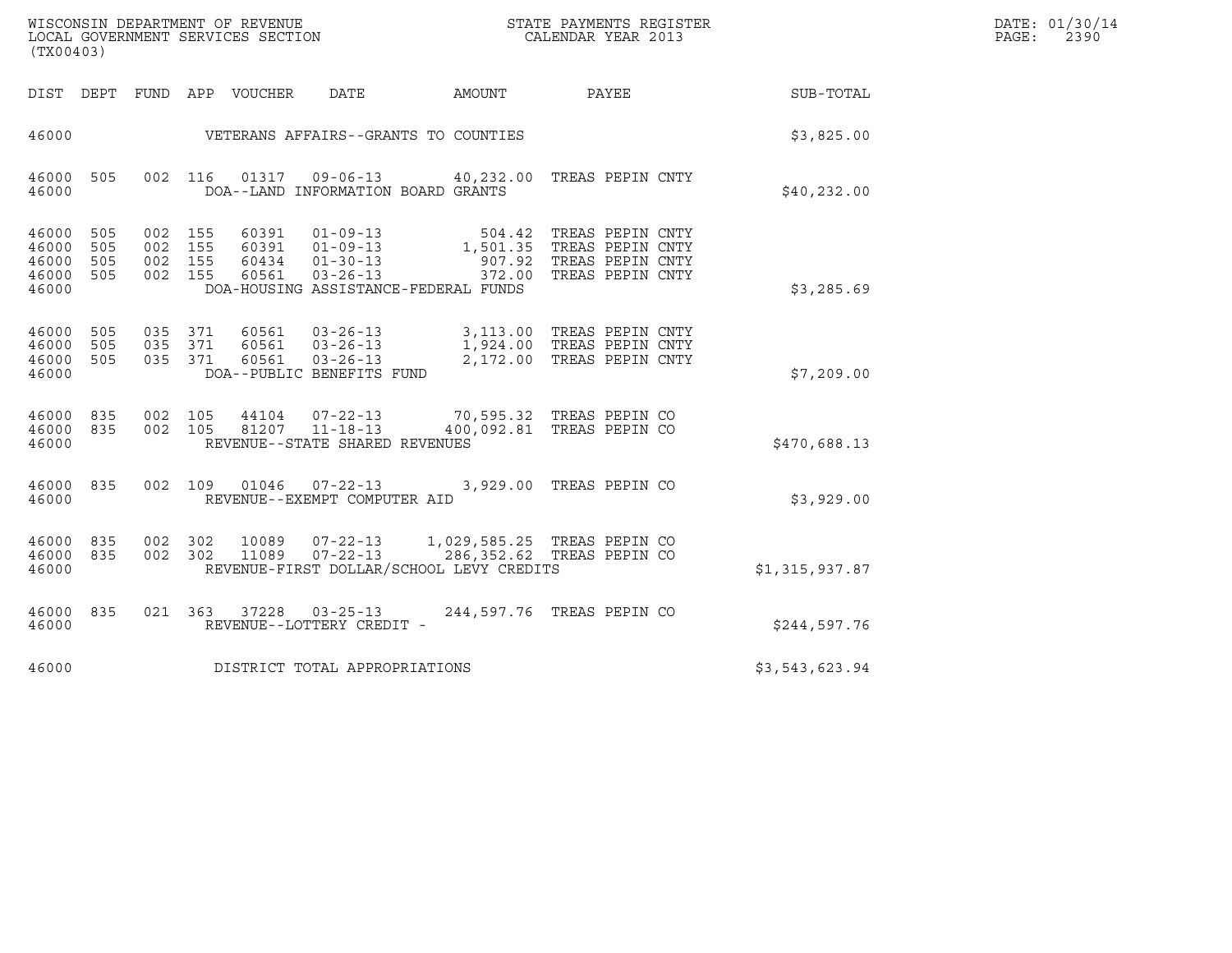| (TX00403)                                     |                   |                    |                                               |                                                                                 |                                          |                                                                                                            |                | DATE: 01/30/14<br>$\mathtt{PAGE}$ :<br>2390 |
|-----------------------------------------------|-------------------|--------------------|-----------------------------------------------|---------------------------------------------------------------------------------|------------------------------------------|------------------------------------------------------------------------------------------------------------|----------------|---------------------------------------------|
| DIST DEPT                                     |                   |                    | FUND APP VOUCHER                              | <b>DATE</b>                                                                     | AMOUNT                                   | PAYEE                                                                                                      | SUB-TOTAL      |                                             |
| 46000                                         |                   |                    |                                               |                                                                                 | VETERANS AFFAIRS--GRANTS TO COUNTIES     |                                                                                                            | \$3,825.00     |                                             |
| 46000<br>46000                                | 505               |                    | 002 116                                       | DOA--LAND INFORMATION BOARD GRANTS                                              |                                          | 01317  09-06-13  40,232.00 TREAS PEPIN CNTY                                                                | \$40, 232.00   |                                             |
| 46000<br>46000<br>46000<br>46000 505<br>46000 | 505<br>505<br>505 | 002 155<br>002 155 | 002 155<br>60391<br>60434<br>002 155<br>60561 | $01 - 09 - 13$<br>$60391$ $01-09-13$<br>$01 - 30 - 13$<br>$03 - 26 - 13$        | DOA-HOUSING ASSISTANCE-FEDERAL FUNDS     | 504.42 TREAS PEPIN CNTY<br>1,501.35 TREAS PEPIN CNTY<br>907.92 TREAS PEPIN CNTY<br>372.00 TREAS PEPIN CNTY | \$3,285.69     |                                             |
| 46000 505<br>46000 505<br>46000 505<br>46000  |                   |                    | 035 371<br>035 371<br>035 371                 | 60561 03-26-13<br>60561 03-26-13<br>60561 03-26-13<br>DOA--PUBLIC BENEFITS FUND |                                          | 3,113.00 TREAS PEPIN CNTY<br>1,924.00 TREAS PEPIN CNTY<br>2,172.00 TREAS PEPIN CNTY                        | \$7,209.00     |                                             |
| 46000 835<br>46000 835<br>46000               |                   | 002                | 105<br>44104<br>002 105                       | $07 - 22 - 13$<br>81207<br>$11 - 18 - 13$<br>REVENUE--STATE SHARED REVENUES     |                                          | 70,595.32 TREAS PEPIN CO<br>400,092.81 TREAS PEPIN CO                                                      | \$470,688.13   |                                             |
| 46000 835<br>46000                            |                   |                    | 002 109<br>01046                              | $07 - 22 - 13$<br>REVENUE--EXEMPT COMPUTER AID                                  |                                          | 3,929.00 TREAS PEPIN CO                                                                                    | \$3,929.00     |                                             |
| 46000 835<br>46000 835<br>46000               |                   |                    | 002 302<br>10089<br>11089<br>002 302          | $07 - 22 - 13$<br>$07 - 22 - 13$                                                | REVENUE-FIRST DOLLAR/SCHOOL LEVY CREDITS | 1,029,585.25 TREAS PEPIN CO<br>286,352.62 TREAS PEPIN CO                                                   | \$1,315,937.87 |                                             |
| 46000 835<br>46000                            |                   |                    | 021 363<br>37228                              | $03 - 25 - 13$<br>REVENUE--LOTTERY CREDIT -                                     |                                          | 244,597.76 TREAS PEPIN CO                                                                                  | \$244,597.76   |                                             |
| 46000                                         |                   |                    |                                               | DISTRICT TOTAL APPROPRIATIONS                                                   |                                          |                                                                                                            | \$3,543,623.94 |                                             |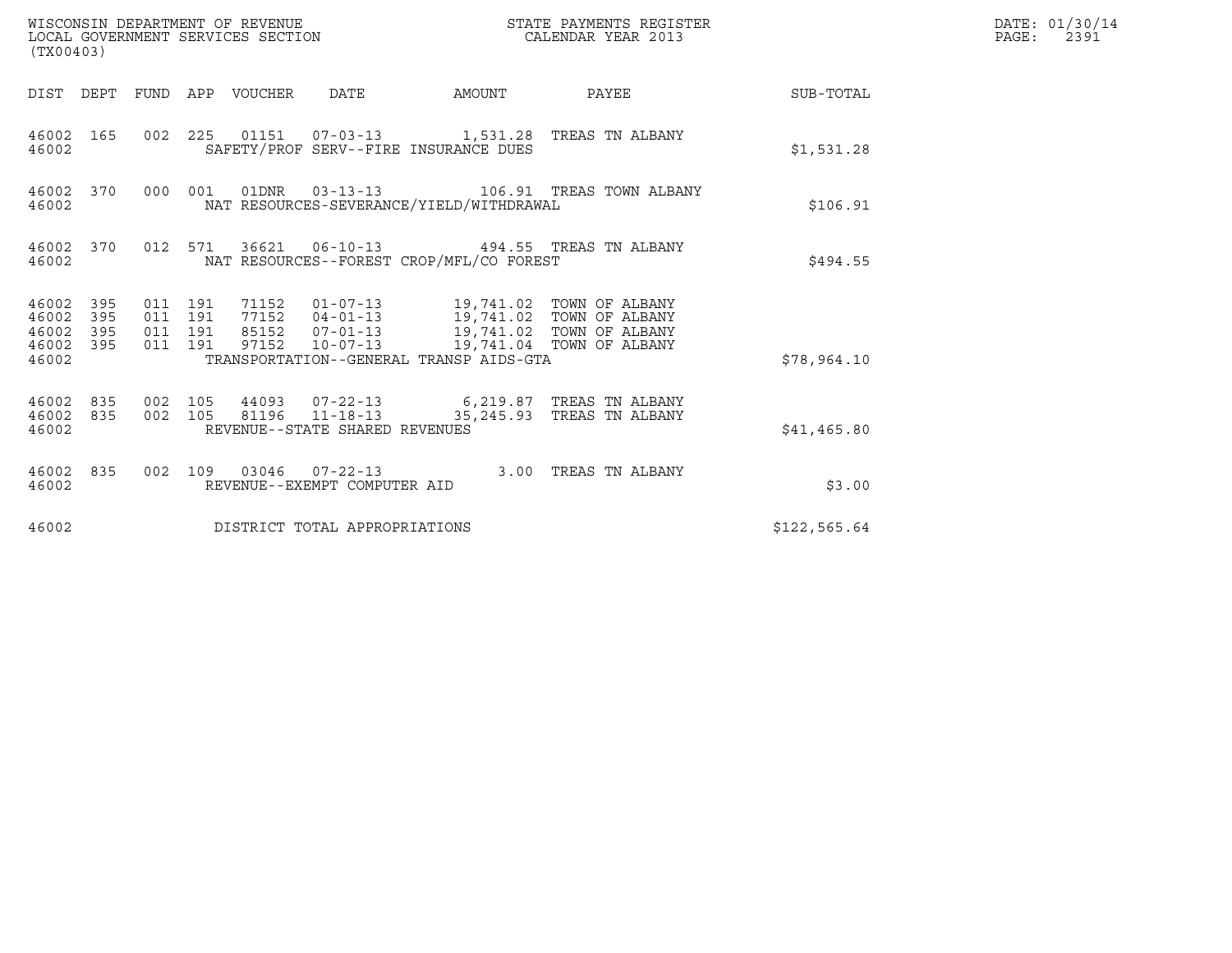| (TX00403)                                                    |                                          | WISCONSIN DEPARTMENT OF REVENUE<br>LOCAL GOVERNMENT SERVICES SECTION |                                          | STATE PAYMENTS REGISTER<br>CALENDAR YEAR 2013                                                   |              | DATE: 01/30/14<br>$\mathtt{PAGE:}$<br>2391 |
|--------------------------------------------------------------|------------------------------------------|----------------------------------------------------------------------|------------------------------------------|-------------------------------------------------------------------------------------------------|--------------|--------------------------------------------|
|                                                              |                                          | DIST DEPT FUND APP VOUCHER DATE                                      |                                          | AMOUNT PAYEE SUB-TOTAL                                                                          |              |                                            |
| 46002 165<br>46002                                           |                                          |                                                                      | SAFETY/PROF SERV--FIRE INSURANCE DUES    | 002 225 01151 07-03-13 1,531.28 TREAS TN ALBANY                                                 | \$1,531.28   |                                            |
| 46002 370<br>46002                                           |                                          |                                                                      | NAT RESOURCES-SEVERANCE/YIELD/WITHDRAWAL | 000 001 01DNR 03-13-13 106.91 TREAS TOWN ALBANY                                                 | \$106.91     |                                            |
| 46002                                                        |                                          |                                                                      | NAT RESOURCES--FOREST CROP/MFL/CO FOREST | 46002 370 012 571 36621 06-10-13 494.55 TREAS TN ALBANY                                         | \$494.55     |                                            |
| 46002 395<br>46002<br>395<br>46002 395<br>46002 395<br>46002 | 011 191<br>011 191<br>011 191<br>011 191 |                                                                      | TRANSPORTATION--GENERAL TRANSP AIDS-GTA  | 97152  10-07-13  19,741.04  TOWN OF ALBANY                                                      | \$78,964.10  |                                            |
| 46002 835 002 105<br>46002 835<br>46002                      |                                          |                                                                      | REVENUE--STATE SHARED REVENUES           | 44093  07-22-13   6,219.87  TREAS TN ALBANY<br>002 105 81196 11-18-13 35,245.93 TREAS TN ALBANY | \$41,465.80  |                                            |
| 46002 835<br>46002                                           |                                          |                                                                      | REVENUE--EXEMPT COMPUTER AID             | 002 109 03046 07-22-13 3.00 TREAS TN ALBANY                                                     | \$3.00       |                                            |
| 46002                                                        |                                          | DISTRICT TOTAL APPROPRIATIONS                                        |                                          |                                                                                                 | \$122,565.64 |                                            |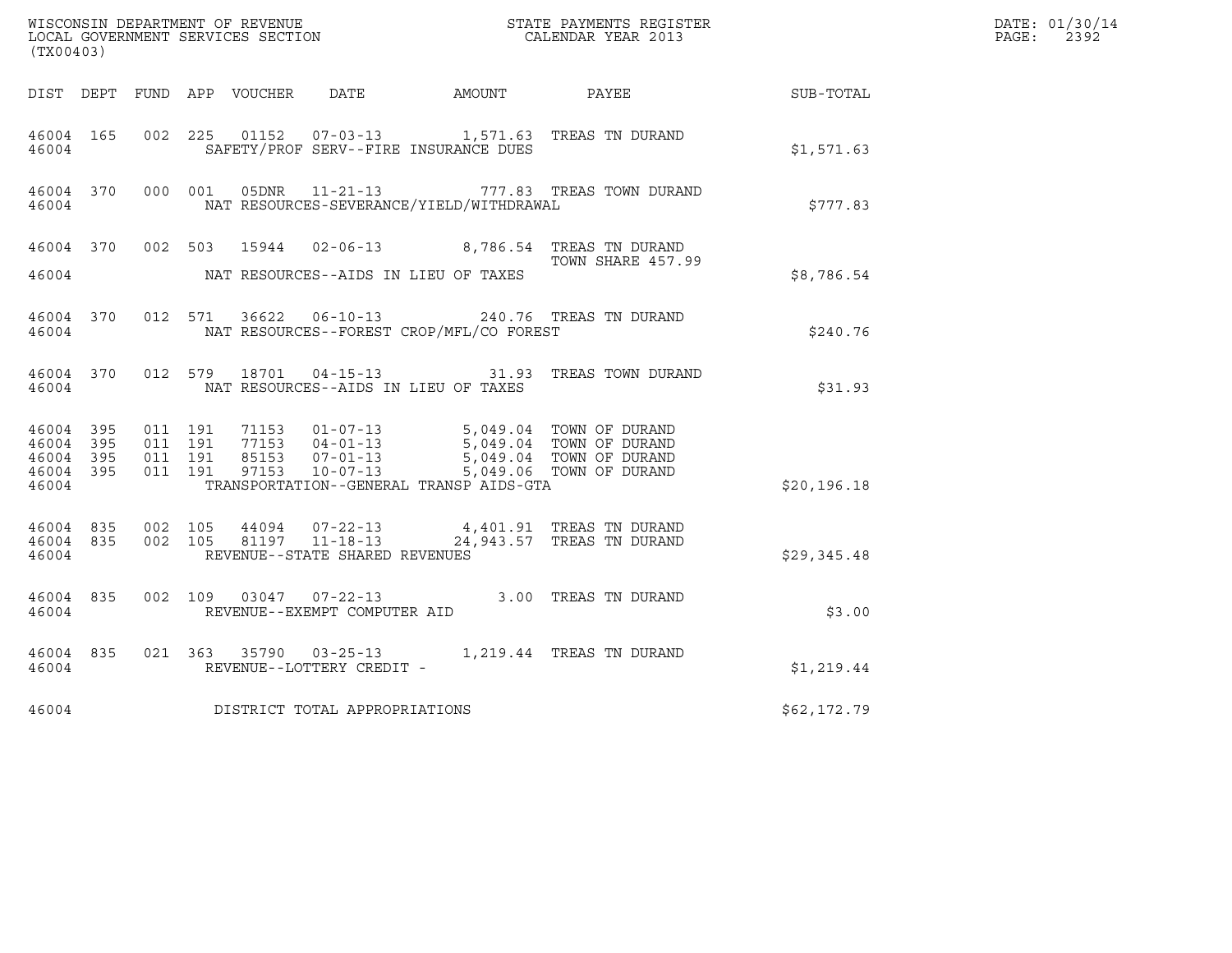| WISCONSIN DEPARTMENT OF REVENUE<br>LOCAL GOVERNMENT SERVICES SECTION<br>CALENDAR YEAR 2013<br>(TX00403) |  |  |  |  |                                |                                            |                                                                                                                                                                                                                                                                                                  |              | DATE: 01/30/14<br>$\mathtt{PAGE:}$<br>2392 |
|---------------------------------------------------------------------------------------------------------|--|--|--|--|--------------------------------|--------------------------------------------|--------------------------------------------------------------------------------------------------------------------------------------------------------------------------------------------------------------------------------------------------------------------------------------------------|--------------|--------------------------------------------|
|                                                                                                         |  |  |  |  |                                |                                            | DIST DEPT FUND APP VOUCHER DATE AMOUNT PAYEE SUB-TOTAL                                                                                                                                                                                                                                           |              |                                            |
| 46004 165<br>46004                                                                                      |  |  |  |  |                                | SAFETY/PROF SERV--FIRE INSURANCE DUES      | 002 225 01152 07-03-13 1,571.63 TREAS TN DURAND                                                                                                                                                                                                                                                  | \$1,571.63   |                                            |
| 46004                                                                                                   |  |  |  |  |                                | NAT RESOURCES-SEVERANCE/YIELD/WITHDRAWAL   | 46004 370 000 001 05DNR 11-21-13 777.83 TREAS TOWN DURAND                                                                                                                                                                                                                                        | \$777.83     |                                            |
|                                                                                                         |  |  |  |  |                                | 46004 NAT RESOURCES--AIDS IN LIEU OF TAXES | 46004 370 002 503 15944 02-06-13 8,786.54 TREAS TN DURAND<br>TOWN SHARE 457.9<br>TOWN SHARE 457.99                                                                                                                                                                                               | \$8,786.54   |                                            |
| 46004                                                                                                   |  |  |  |  |                                | NAT RESOURCES--FOREST CROP/MFL/CO FOREST   | 46004 370 012 571 36622 06-10-13 240.76 TREAS TN DURAND                                                                                                                                                                                                                                          | \$240.76     |                                            |
| 46004 370<br>46004                                                                                      |  |  |  |  |                                | NAT RESOURCES--AIDS IN LIEU OF TAXES       | 012 579 18701 04-15-13 31.93 TREAS TOWN DURAND                                                                                                                                                                                                                                                   | \$31.93      |                                            |
| 46004 395<br>46004 395<br>46004 395<br>46004 395<br>46004                                               |  |  |  |  |                                | TRANSPORTATION--GENERAL TRANSP AIDS-GTA    | 011 191 71153 01-07-13 5,049.04 TOWN OF DURAND<br>011 191 77153 04-01-13 5,049.04 TOWN OF DURAND<br>011 191 85153 07-01-13 5,049.04 TOWN OF DURAND<br>011 191 97153 10-07-13 5,049.06 TOWN OF DURAND                                                                                             | \$20, 196.18 |                                            |
| 46004                                                                                                   |  |  |  |  | REVENUE--STATE SHARED REVENUES |                                            | $\begin{array}{cccccc} 4\,6\,0\,0\,4 & 8\,3\,5 & 0\,0\,2 & 1\,0\,5 & 4\,4\,0\,9\,4 & 0\,7\,-2\,2\,-1\,3 & 4\,,4\,0\,1\,.9\,1 & \text{TREAS TN DURAND} \\ 4\,6\,0\,0\,4 & 8\,3\,5 & 0\,0\,2 & 1\,0\,5 & 8\,1\,1\,9\,7 & 1\,1\,-1\,8\,-1\,3 & 2\,4\,,9\,4\,3\,.5\,7 & \text{TREAS TN DURAND} \end$ | \$29,345.48  |                                            |
| 46004 835<br>46004                                                                                      |  |  |  |  | REVENUE--EXEMPT COMPUTER AID   |                                            | 002 109 03047 07-22-13 3.00 TREAS TN DURAND                                                                                                                                                                                                                                                      | \$3.00       |                                            |
| 46004 835<br>46004                                                                                      |  |  |  |  | REVENUE--LOTTERY CREDIT -      |                                            | 021 363 35790 03-25-13 1,219.44 TREAS TN DURAND                                                                                                                                                                                                                                                  | \$1,219.44   |                                            |
| 46004                                                                                                   |  |  |  |  | DISTRICT TOTAL APPROPRIATIONS  |                                            |                                                                                                                                                                                                                                                                                                  | \$62,172.79  |                                            |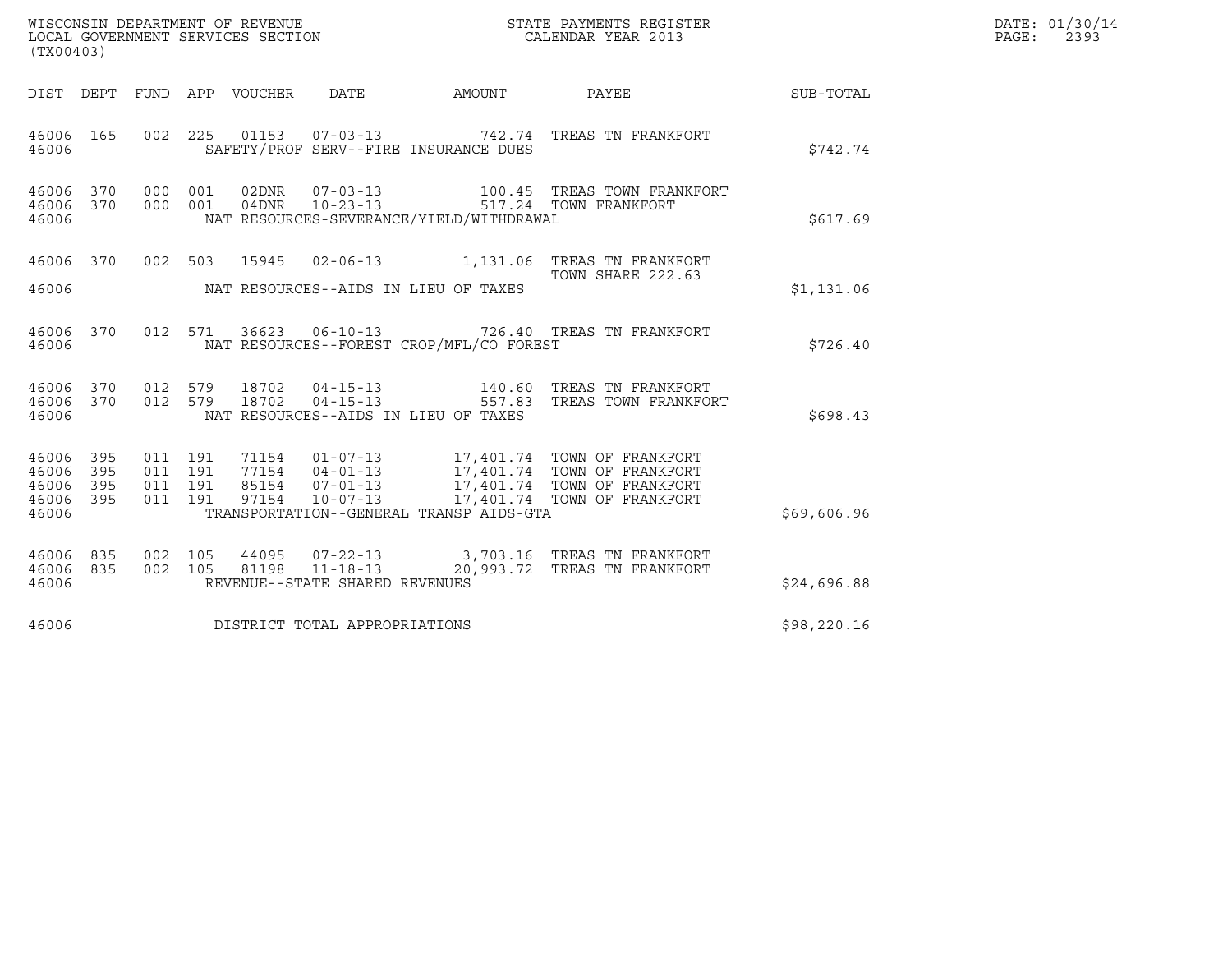| WISCONSIN DEPARTMENT OF REVENUE<br>LOCAL GOVERNMENT SERVICES SECTION<br>(TX00403) | STATE PAYMENTS REGISTER<br>CALENDAR YEAR 2013 | DATE: 01/30/14<br>PAGE:<br>2393 |
|-----------------------------------------------------------------------------------|-----------------------------------------------|---------------------------------|

| (TX00403)                                 |                          |                          |                          |                |                                                                      |                                          |                                                                                         |             |
|-------------------------------------------|--------------------------|--------------------------|--------------------------|----------------|----------------------------------------------------------------------|------------------------------------------|-----------------------------------------------------------------------------------------|-------------|
| DIST DEPT                                 |                          | FUND APP                 |                          | VOUCHER        | DATE                                                                 | <b>AMOUNT</b>                            | PAYEE                                                                                   | SUB-TOTAL   |
| 46006<br>46006                            | 165                      | 002                      | 225                      |                |                                                                      | SAFETY/PROF SERV--FIRE INSURANCE DUES    | 01153  07-03-13  742.74  TREAS TN FRANKFORT                                             | \$742.74    |
| 46006 370<br>46006<br>46006               | 370                      | 000<br>000               | 001<br>001               | 02DNR<br>04DNR | $07 - 03 - 13$<br>$10 - 23 - 13$                                     | NAT RESOURCES-SEVERANCE/YIELD/WITHDRAWAL | 100.45   TREAS  TOWN  FRANKFORT<br>517.24    TOWN  FRANKFORT                            | \$617.69    |
| 46006<br>46006                            | 370                      |                          |                          | 002 503 15945  |                                                                      | NAT RESOURCES--AIDS IN LIEU OF TAXES     | TOWN SHARE 222.63                                                                       | \$1,131.06  |
| 46006<br>46006                            | 370                      | 012                      | 571                      | 36623          |                                                                      | NAT RESOURCES--FOREST CROP/MFL/CO FOREST | 06-10-13 726.40 TREAS TN FRANKFORT                                                      | \$726.40    |
| 46006<br>46006<br>46006                   | 370<br>370               | 012<br>012               | 579<br>579               |                |                                                                      | NAT RESOURCES--AIDS IN LIEU OF TAXES     | 18702  04-15-13  557.83  TREAS TOWN FRANKFORT                                           | \$698.43    |
| 46006<br>46006<br>46006<br>46006<br>46006 | 395<br>395<br>395<br>395 | 011<br>011<br>011<br>011 | 191<br>191<br>191<br>191 | 97154          | 71154 01-07-13<br>77154 04-01-13<br>85154 07-01-13<br>$10 - 07 - 13$ | TRANSPORTATION--GENERAL TRANSP AIDS-GTA  | 17,401.74 TOWN OF FRANKFORT<br>17,401.74 TOWN OF FRANKFORT                              | \$69,606.96 |
| 46006<br>46006<br>46006                   | 835<br>835               | 002<br>002               | 105                      | 81198          | REVENUE--STATE SHARED REVENUES                                       |                                          | 105 44095 07-22-13 3,703.16 TREAS TN FRANKFORT<br>11-18-13 20,993.72 TREAS TN FRANKFORT | \$24,696.88 |
| 46006                                     |                          |                          |                          |                | DISTRICT TOTAL APPROPRIATIONS                                        |                                          |                                                                                         | \$98,220.16 |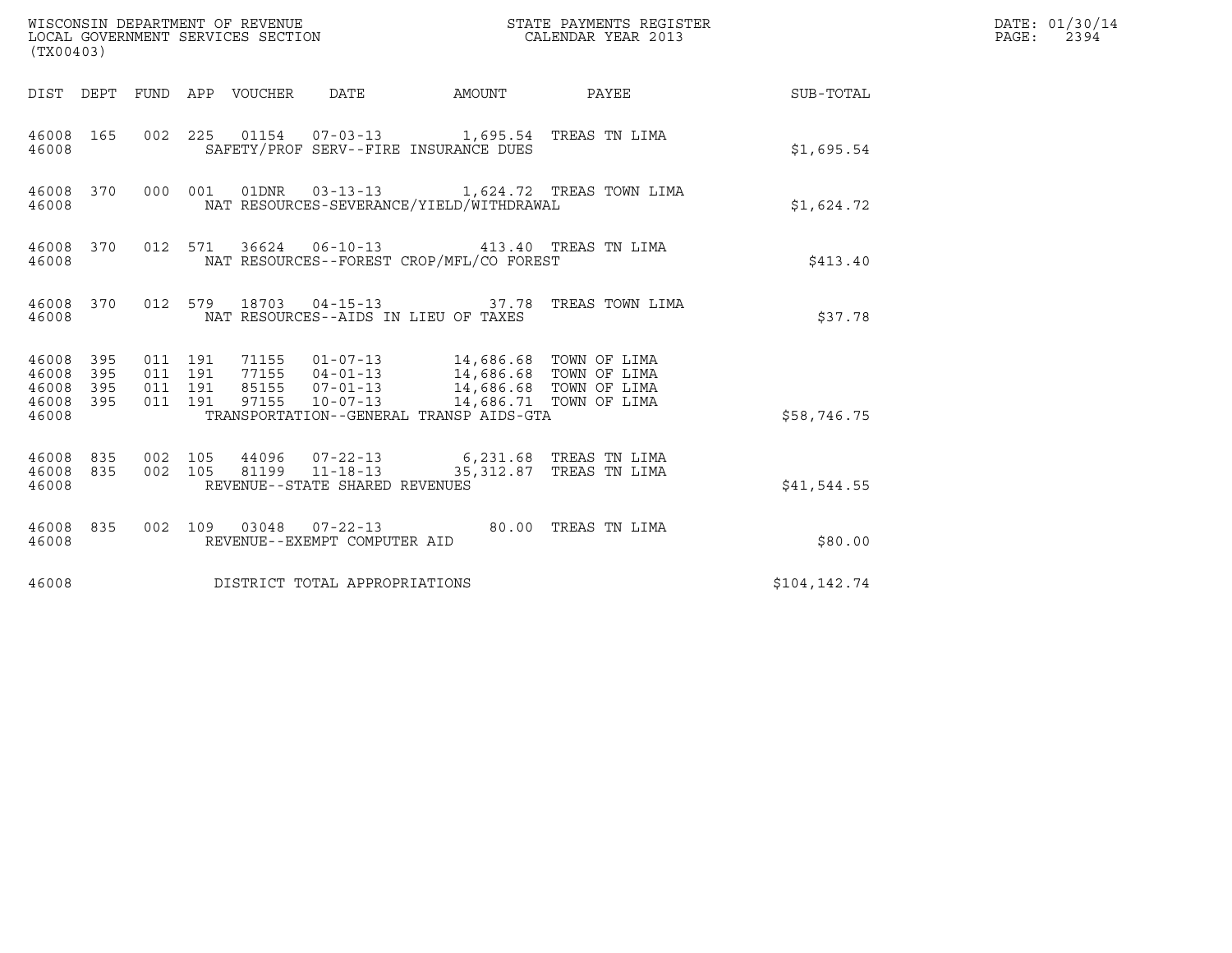| (TX00403)                                         |            |                                          |  |                                 |                                                                                                                                                                                                                         |        |                                                                                                                                                                                                                                     |              | DATE: 01/30/14<br>PAGE: 2394 |
|---------------------------------------------------|------------|------------------------------------------|--|---------------------------------|-------------------------------------------------------------------------------------------------------------------------------------------------------------------------------------------------------------------------|--------|-------------------------------------------------------------------------------------------------------------------------------------------------------------------------------------------------------------------------------------|--------------|------------------------------|
|                                                   |            |                                          |  | DIST DEPT FUND APP VOUCHER DATE |                                                                                                                                                                                                                         | AMOUNT | <b>PAYEE</b> FOR THE STATE OF THE STATE OF THE STATE OF THE STATE OF THE STATE OF THE STATE OF THE STATE OF THE STATE OF THE STATE OF THE STATE OF THE STATE OF THE STATE OF THE STATE OF THE STATE OF THE STATE OF THE STATE OF TH | SUB-TOTAL    |                              |
| 46008                                             | 46008 165  |                                          |  |                                 | 002 225 01154 07-03-13 1,695.54 TREAS TN LIMA<br>SAFETY/PROF SERV--FIRE INSURANCE DUES                                                                                                                                  |        |                                                                                                                                                                                                                                     | \$1,695.54   |                              |
| 46008                                             | 46008 370  |                                          |  |                                 | NAT RESOURCES-SEVERANCE/YIELD/WITHDRAWAL                                                                                                                                                                                |        | 000 001 01DNR 03-13-13 1,624.72 TREAS TOWN LIMA                                                                                                                                                                                     | \$1,624.72   |                              |
| 46008 370<br>46008                                |            |                                          |  |                                 | 012 571 36624 06-10-13 413.40 TREAS TN LIMA<br>NAT RESOURCES--FOREST CROP/MFL/CO FOREST                                                                                                                                 |        |                                                                                                                                                                                                                                     | \$413.40     |                              |
| 46008                                             | 46008 370  |                                          |  |                                 | NAT RESOURCES--AIDS IN LIEU OF TAXES                                                                                                                                                                                    |        | 012 579 18703 04-15-13 37.78 TREAS TOWN LIMA                                                                                                                                                                                        | \$37.78      |                              |
| 46008 395<br>46008<br>46008<br>46008 395<br>46008 | 395<br>395 | 011 191<br>011 191<br>011 191<br>011 191 |  |                                 | 71155  01-07-13  14,686.68  TOWN OF LIMA<br>77155  04-01-13  14,686.68  TOWN OF LIMA<br>85155  07-01-13  14,686.68  TOWN OF LIMA<br>97155  10-07-13  14,686.71  TOWN OF LIMA<br>TRANSPORTATION--GENERAL TRANSP AIDS-GTA |        |                                                                                                                                                                                                                                     | \$58,746.75  |                              |
| 46008 835<br>46008 835<br>46008                   |            | 002 105<br>002 105                       |  |                                 | 44096 07-22-13 6,231.68 TREAS TN LIMA<br>81199 11-18-13<br>REVENUE--STATE SHARED REVENUES                                                                                                                               |        | 35,312.87 TREAS TN LIMA                                                                                                                                                                                                             | \$41,544.55  |                              |
| 46008                                             | 46008 835  |                                          |  |                                 | 002 109 03048 07-22-13 80.00 TREAS TN LIMA<br>REVENUE--EXEMPT COMPUTER AID                                                                                                                                              |        |                                                                                                                                                                                                                                     | \$80.00      |                              |
| 46008                                             |            |                                          |  |                                 | DISTRICT TOTAL APPROPRIATIONS                                                                                                                                                                                           |        |                                                                                                                                                                                                                                     | \$104,142.74 |                              |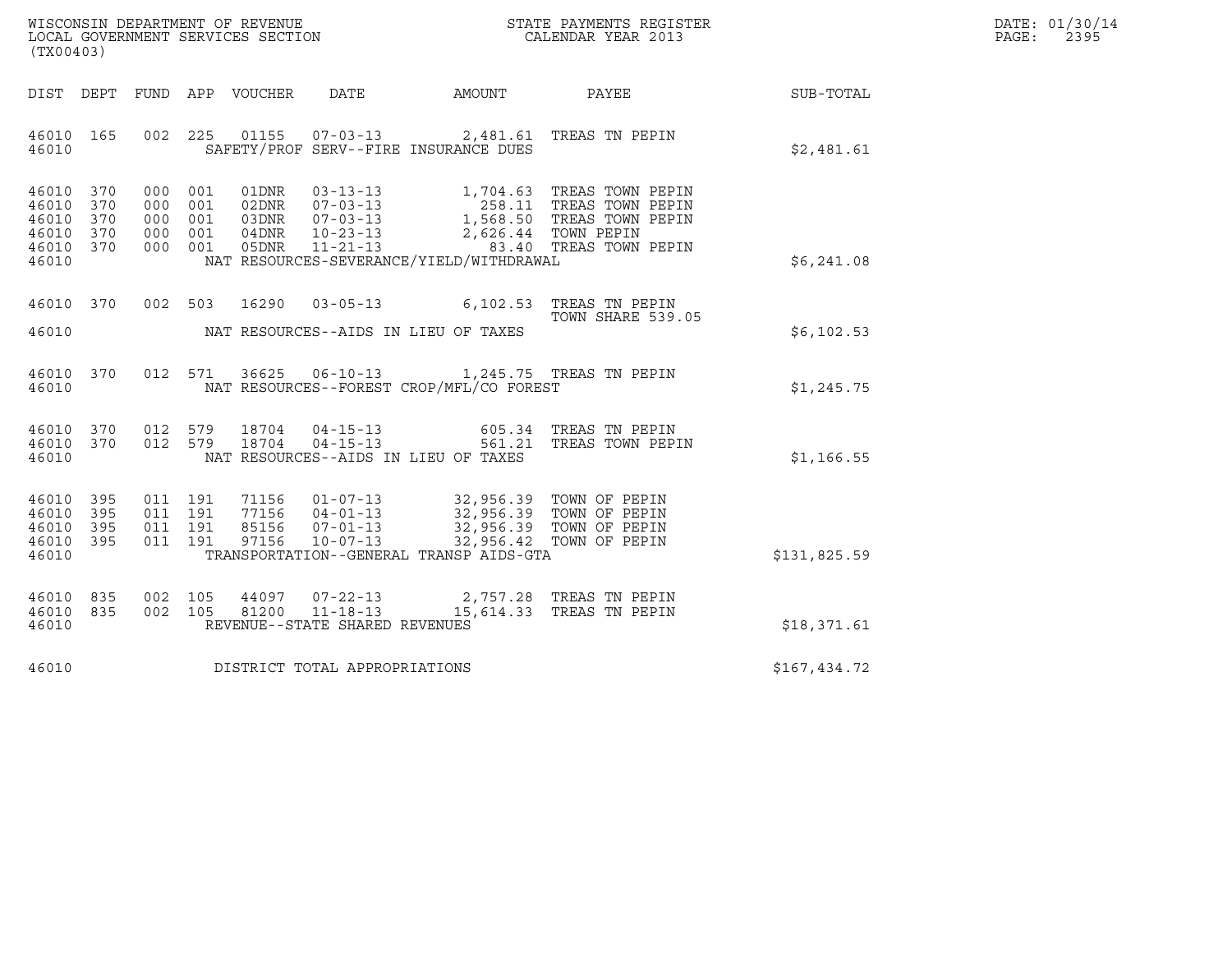| WISCONSIN DEPARTMENT OF REVENUE   | STATE PAYMENTS REGISTER | DATE: 01/30/14 |
|-----------------------------------|-------------------------|----------------|
| LOCAL GOVERNMENT SERVICES SECTION | CALENDAR YEAR 2013      | 2395<br>PAGE:  |

| WISCONSIN DEPARTMENT OF REVENUE<br>LOCAL GOVERNMENT SERVICES SECTION FOR THE STATE PAYMENTS REGISTER<br>(TX00403)<br>(TX00403)                                                                                                                                                                                                                       |                                          |                   |              | DATE: 01/30/14<br>PAGE: 2395 |
|------------------------------------------------------------------------------------------------------------------------------------------------------------------------------------------------------------------------------------------------------------------------------------------------------------------------------------------------------|------------------------------------------|-------------------|--------------|------------------------------|
| DIST DEPT FUND APP VOUCHER DATE AMOUNT PAYEE PAYER SUB-TOTAL                                                                                                                                                                                                                                                                                         |                                          |                   |              |                              |
| 002 225 01155 07-03-13 2,481.61 TREAS TN PEPIN<br>46010 165<br>46010 SAFETY/PROF SERV--FIRE INSURANCE DUES                                                                                                                                                                                                                                           |                                          |                   | \$2,481.61   |                              |
| 000 001 01DNR 03-13-13 1,704.63 TREAS TOWN PEPIN<br>000 001 02DNR 07-03-13 258.11 TREAS TOWN PEPIN<br>000 001 03DNR 07-03-13 1,568.50 TREAS TOWN PEPIN<br>000 001 04DNR 10-23-13 2,626.44 TOWN PEPIN<br>000 001 05DNR 11-21-13<br>46010 370<br>46010 370<br>46010 370<br>46010 370<br>46010 370<br>NAT RESOURCES-SEVERANCE/YIELD/WITHDRAWAL<br>46010 |                                          |                   | \$6,241.08   |                              |
| 46010 370 002 503 16290 03-05-13 6,102.53 TREAS TN PEPIN<br>TOWN SHARE 539.                                                                                                                                                                                                                                                                          |                                          | TOWN SHARE 539.05 | \$6,102.53   |                              |
| 46010 370 012 571 36625 06-10-13 1,245.75 TREAS TN PEPIN<br>46010                                                                                                                                                                                                                                                                                    | NAT RESOURCES--FOREST CROP/MFL/CO FOREST |                   | \$1,245.75   |                              |
| 012 579 18704 04-15-13 605.34 TREAS TN PEPIN<br>012 579 18704 04-15-13 561.21 TREAS TOWN PEPIN<br>46010 370<br>46010 370<br>46010<br>NAT RESOURCES--AIDS IN LIEU OF TAXES                                                                                                                                                                            |                                          |                   | \$1,166.55   |                              |
| 011 191 71156 01-07-13 32,956.39 TOWN OF PEPIN<br>011 191 77156 04-01-13 32,956.39 TOWN OF PEPIN<br>011 191 85156 07-01-13 32,956.39 TOWN OF PEPIN<br>011 191 97156 10-07-13 32,956.42 TOWN OF PEPIN<br>46010 395<br>46010 395<br>46010 395<br>46010 395<br>46010                                                                                    | TRANSPORTATION--GENERAL TRANSP AIDS-GTA  |                   | \$131,825.59 |                              |
| 002 105 44097 07-22-13 2,757.28 TREAS TN PEPIN<br>002 105 81200 11-18-13 15,614.33 TREAS TN PEPIN<br>46010 835<br>46010 835<br>REVENUE--STATE SHARED REVENUES<br>46010                                                                                                                                                                               |                                          |                   | \$18,371.61  |                              |
| 46010 DISTRICT TOTAL APPROPRIATIONS                                                                                                                                                                                                                                                                                                                  |                                          |                   | \$167,434.72 |                              |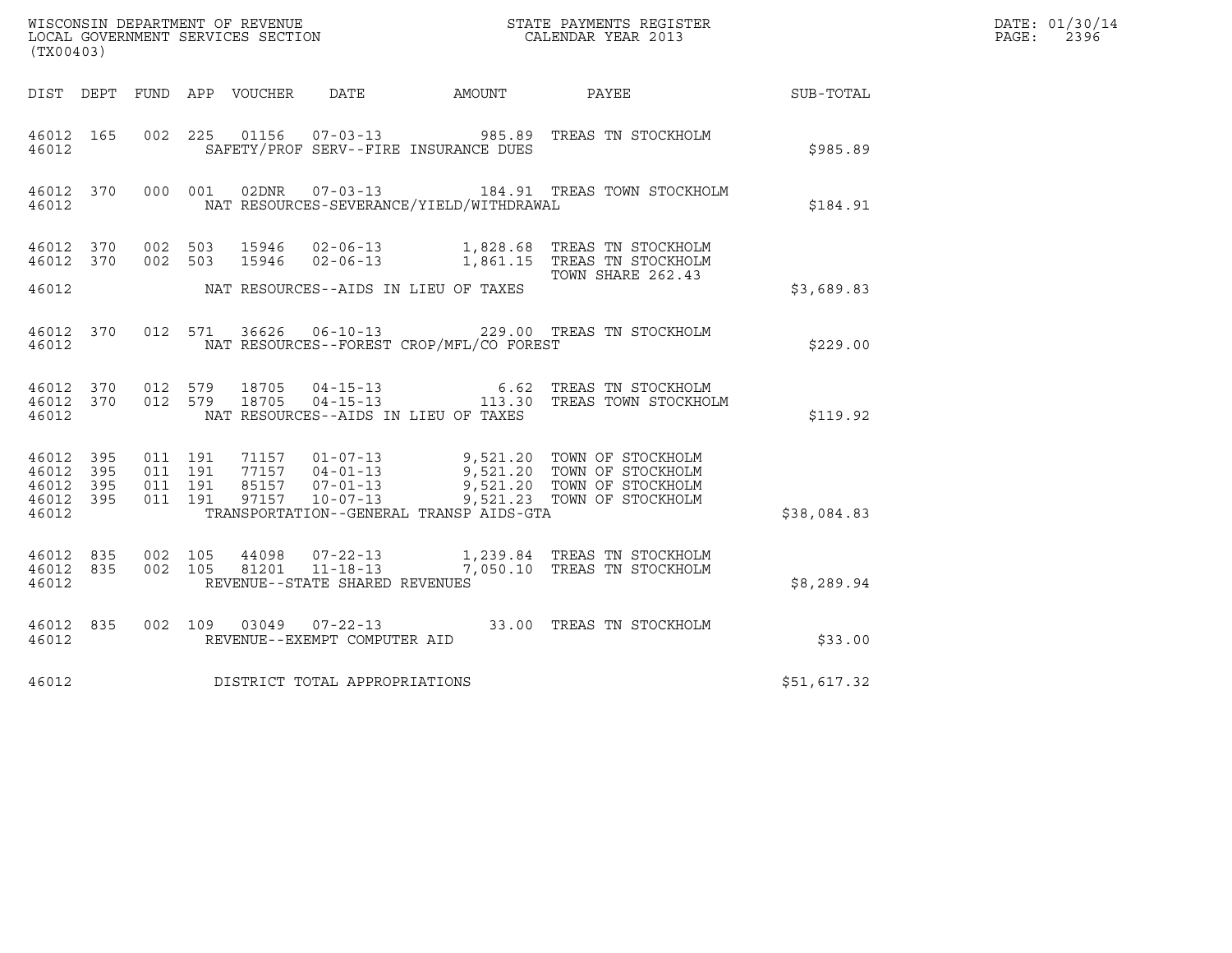| (TX00403)                       |                   |                                          |  |                                  |                                |                                          |                                                                                                                                                                                              |             | DATE: 01/30/14<br>$\mathtt{PAGE:}$<br>2396 |
|---------------------------------|-------------------|------------------------------------------|--|----------------------------------|--------------------------------|------------------------------------------|----------------------------------------------------------------------------------------------------------------------------------------------------------------------------------------------|-------------|--------------------------------------------|
|                                 |                   |                                          |  |                                  |                                |                                          | DIST DEPT FUND APP VOUCHER DATE AMOUNT PAYEE                                                                                                                                                 | SUB-TOTAL   |                                            |
| 46012                           | 46012 165         |                                          |  |                                  |                                | SAFETY/PROF SERV--FIRE INSURANCE DUES    | 002  225  01156  07-03-13  985.89  TREAS TN STOCKHOLM                                                                                                                                        | \$985.89    |                                            |
| 46012                           |                   |                                          |  |                                  |                                | NAT RESOURCES-SEVERANCE/YIELD/WITHDRAWAL | 46012 370 000 001 02DNR 07-03-13 184.91 TREAS TOWN STOCKHOLM                                                                                                                                 | \$184.91    |                                            |
|                                 | 46012 370 002 503 |                                          |  |                                  |                                |                                          | 46012 370 002 503 15946 02-06-13 1,828.68 TREAS TN STOCKHOLM<br>15946 02-06-13 1,861.15 TREAS TN STOCKHOLM<br>TOWN SHARE 262.43                                                              |             |                                            |
| 46012                           |                   |                                          |  |                                  |                                | NAT RESOURCES--AIDS IN LIEU OF TAXES     |                                                                                                                                                                                              | \$3,689.83  |                                            |
| 46012                           |                   |                                          |  |                                  |                                | NAT RESOURCES--FOREST CROP/MFL/CO FOREST | 46012 370 012 571 36626 06-10-13 229.00 TREAS TN STOCKHOLM                                                                                                                                   | \$229.00    |                                            |
| 46012                           | 46012 370 012 579 |                                          |  | 18705<br>46012 370 012 579 18705 |                                | NAT RESOURCES--AIDS IN LIEU OF TAXES     | 04-15-13 6.62 TREAS TN STOCKHOLM<br>04-15-13 113.30 TREAS TOWN STOCKHOLM                                                                                                                     | \$119.92    |                                            |
| 46012 395<br>46012<br>46012 395 | 395<br>46012 395  | 011 191<br>011 191<br>011 191<br>011 191 |  |                                  |                                |                                          | 71157  01-07-13  9,521.20  TOWN OF STOCKHOLM<br>77157  04-01-13  9,521.20  TOWN OF STOCKHOLM<br>85157  07-01-13  9,521.20  TOWN OF STOCKHOLM<br>97157  10-07-13  9,521.23  TOWN OF STOCKHOLM |             |                                            |
| 46012                           |                   |                                          |  |                                  |                                | TRANSPORTATION--GENERAL TRANSP AIDS-GTA  |                                                                                                                                                                                              | \$38,084.83 |                                            |
| 46012 835<br>46012              | 46012 835         | 002 105<br>002 105                       |  |                                  | REVENUE--STATE SHARED REVENUES |                                          | 44098  07-22-13   1,239.84 TREAS TN STOCKHOLM<br>81201  11-18-13   7,050.10 TREAS TN STOCKHOLM                                                                                               | \$8,289.94  |                                            |
| 46012                           | 46012 835         |                                          |  |                                  | REVENUE--EXEMPT COMPUTER AID   |                                          | 002 109 03049 07-22-13 33.00 TREAS TN STOCKHOLM                                                                                                                                              | \$33.00     |                                            |
| 46012                           |                   |                                          |  |                                  | DISTRICT TOTAL APPROPRIATIONS  |                                          |                                                                                                                                                                                              | \$51,617.32 |                                            |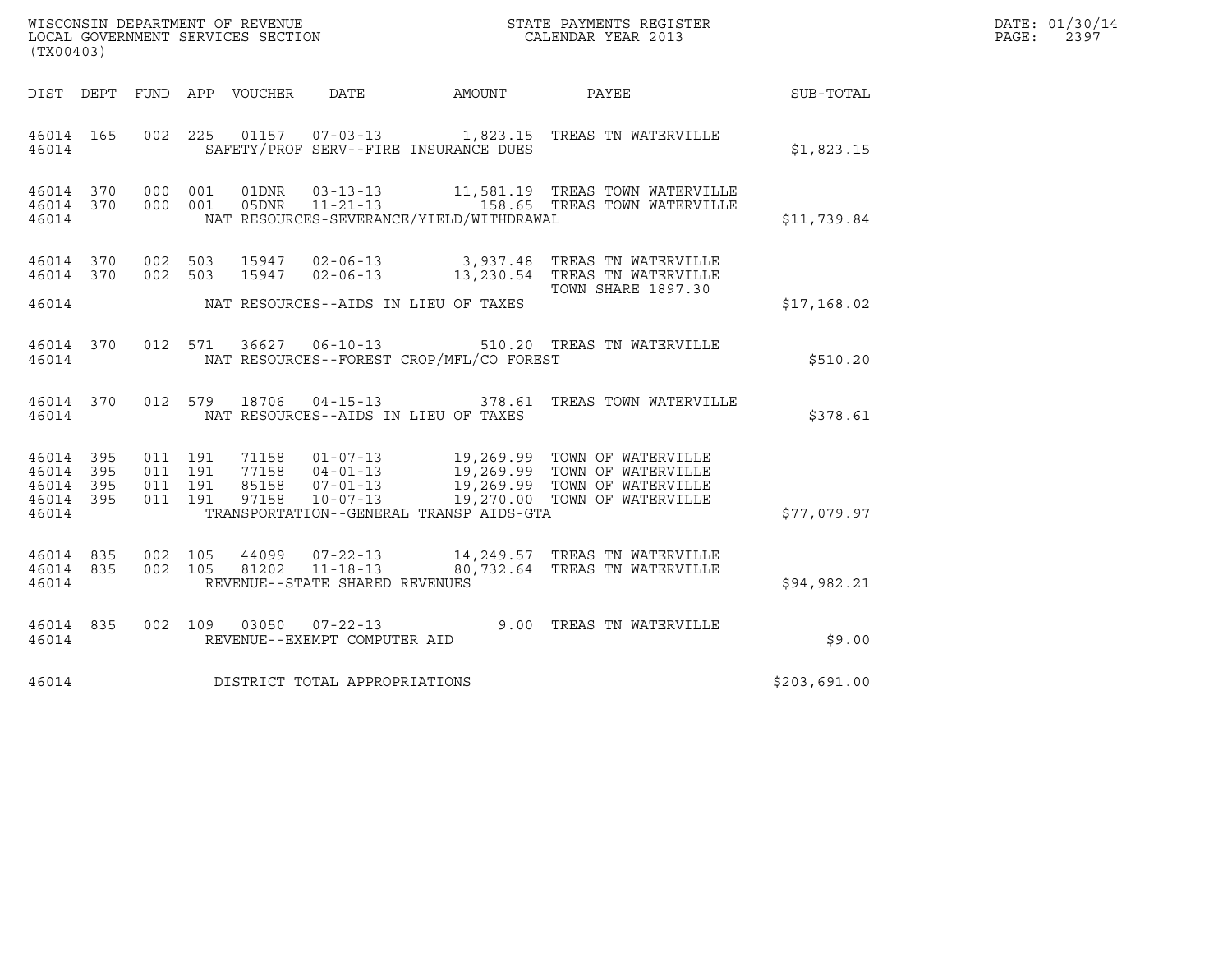| WISCONSIN DEPARTMENT OF REVENUE   | STATE PAYMENTS REGISTER | DATE: 01/30/14 |
|-----------------------------------|-------------------------|----------------|
| LOCAL GOVERNMENT SERVICES SECTION | CALENDAR YEAR 2013      | 2397<br>PAGE:  |

| WISCONSIN DEPARTMENT OF REVENUE<br>LOCAL GOVERNMENT SERVICES SECTION<br>(TX00403)<br>(TX00403) |                                             |         |  |                                 |                                |                                               |                                                                                                                                                                                                                                         |              | DATE: 01/30/14<br>PAGE: 2397 |
|------------------------------------------------------------------------------------------------|---------------------------------------------|---------|--|---------------------------------|--------------------------------|-----------------------------------------------|-----------------------------------------------------------------------------------------------------------------------------------------------------------------------------------------------------------------------------------------|--------------|------------------------------|
|                                                                                                |                                             |         |  | DIST DEPT FUND APP VOUCHER DATE |                                |                                               | AMOUNT PAYEE                                                                                                                                                                                                                            | SUB-TOTAL    |                              |
|                                                                                                | 46014                                       |         |  |                                 |                                | SAFETY/PROF SERV--FIRE INSURANCE DUES         | 46014 165 002 225 01157 07-03-13 1,823.15 TREAS TN WATERVILLE                                                                                                                                                                           | \$1,823.15   |                              |
| 46014                                                                                          |                                             |         |  |                                 |                                | NAT RESOURCES-SEVERANCE/YIELD/WITHDRAWAL      | 46014 370 000 001 01DNR 03-13-13 11,581.19 TREAS TOWN WATERVILLE 46014 370 000 001 05DNR 11-21-13 158.65 TREAS TOWN WATERVILLE                                                                                                          | \$11,739.84  |                              |
|                                                                                                |                                             |         |  |                                 |                                |                                               | $\begin{tabular}{llllll} 46014 & 370 & 002 & 503 & 15947 & 02-06-13 & & 3,937.48 & TREAS TN WATERVILLE \\ 46014 & 370 & 002 & 503 & 15947 & 02-06-13 & & 13,230.54 & TREAS TN WATERVILLE \\ \end{tabular}$<br><b>TOWN SHARE 1897.30</b> |              |                              |
|                                                                                                |                                             |         |  |                                 |                                | 46014 NAT RESOURCES--AIDS IN LIEU OF TAXES    |                                                                                                                                                                                                                                         | \$17,168.02  |                              |
|                                                                                                | 46014                                       |         |  |                                 |                                | NAT RESOURCES--FOREST CROP/MFL/CO FOREST      | 46014 370 012 571 36627 06-10-13 510.20 TREAS TN WATERVILLE                                                                                                                                                                             | \$510.20     |                              |
|                                                                                                |                                             |         |  |                                 |                                | 46014 MAT RESOURCES--AIDS IN LIEU OF TAXES    | 46014 370 012 579 18706 04-15-13 378.61 TREAS TOWN WATERVILLE                                                                                                                                                                           | \$378.61     |                              |
| 46014 395                                                                                      | 46014 395<br>46014 395 011 191<br>46014 395 |         |  |                                 |                                | 46014 TRANSPORTATION--GENERAL TRANSP AIDS-GTA | 011 191 71158 01-07-13 19,269.99 TOWN OF WATERVILLE<br>011 191 77158 04-01-13 19,269.99 TOWN OF WATERVILLE<br>011 191 85158 07-01-13 19,269.99 TOWN OF WATERVILLE<br>011 191 97158 10-07-13 19,270.00 TOWN OF WATERVILLE                | \$77,079.97  |                              |
| 46014                                                                                          | 46014 835 002 105<br>46014 835              | 002 105 |  |                                 | REVENUE--STATE SHARED REVENUES |                                               | 44099  07-22-13  14,249.57  TREAS TN WATERVILLE<br>81202  11-18-13  80,732.64  TREAS TN WATERVILLE                                                                                                                                      | \$94.982.21  |                              |
| 46014                                                                                          |                                             |         |  |                                 | REVENUE--EXEMPT COMPUTER AID   |                                               | 46014 835 002 109 03050 07-22-13 9.00 TREAS TN WATERVILLE                                                                                                                                                                               | \$9.00       |                              |
| 46014                                                                                          |                                             |         |  |                                 | DISTRICT TOTAL APPROPRIATIONS  |                                               |                                                                                                                                                                                                                                         | \$203,691.00 |                              |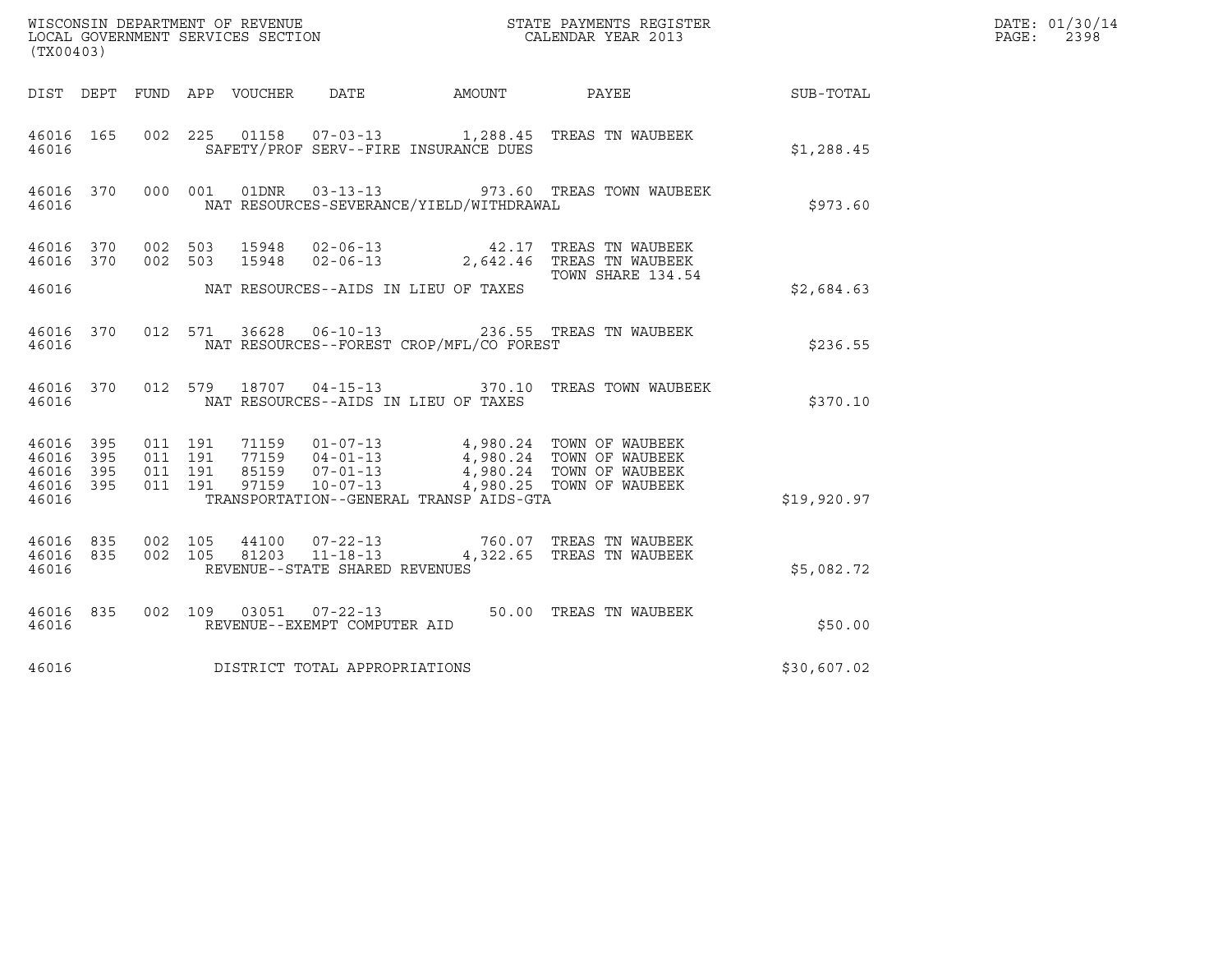|                                                           |                    |       |                                              | $\tt WISCONSIM DEPARTMENT OF REVENUE$ $\tt WISCONS IN DEPARTMENT SERVICES SECTION$ $\tt SCALENDAR YEAR$ $2013$                                                                                                                                                                                                                        |                  | DATE: 01/30/14<br>PAGE: |
|-----------------------------------------------------------|--------------------|-------|----------------------------------------------|---------------------------------------------------------------------------------------------------------------------------------------------------------------------------------------------------------------------------------------------------------------------------------------------------------------------------------------|------------------|-------------------------|
| (TX00403)                                                 |                    |       |                                              |                                                                                                                                                                                                                                                                                                                                       | 2398             |                         |
|                                                           |                    |       | DIST DEPT FUND APP VOUCHER DATE AMOUNT PAYEE |                                                                                                                                                                                                                                                                                                                                       | <b>SUB-TOTAL</b> |                         |
| 46016                                                     |                    |       | SAFETY/PROF SERV--FIRE INSURANCE DUES        | 46016 165 002 225 01158 07-03-13 1,288.45 TREAS TN WAUBEEK                                                                                                                                                                                                                                                                            | \$1,288.45       |                         |
| 46016                                                     |                    |       | NAT RESOURCES-SEVERANCE/YIELD/WITHDRAWAL     | 46016 370 000 001 01DNR 03-13-13 973.60 TREAS TOWN WAUBEEK                                                                                                                                                                                                                                                                            | \$973.60         |                         |
| 46016 370 002 503<br>46016 370 002 503                    |                    |       |                                              | 15948 02-06-13 42.17 TREAS TN WAUBEEK<br>15948 02-06-13 2,642.46 TREAS TN WAUBEEK<br>TOWN SHARE 134.54                                                                                                                                                                                                                                |                  |                         |
| 46016                                                     |                    |       | NAT RESOURCES--AIDS IN LIEU OF TAXES         |                                                                                                                                                                                                                                                                                                                                       | \$2,684.63       |                         |
| 46016                                                     |                    |       | NAT RESOURCES--FOREST CROP/MFL/CO FOREST     | 46016 370 012 571 36628 06-10-13 236.55 TREAS TN WAUBEEK                                                                                                                                                                                                                                                                              | \$236.55         |                         |
| 46016                                                     |                    |       | NAT RESOURCES--AIDS IN LIEU OF TAXES         | 46016 370 012 579 18707 04-15-13 370.10 TREAS TOWN WAUBEEK                                                                                                                                                                                                                                                                            | \$370.10         |                         |
| 46016 395<br>46016 395<br>46016 395<br>46016 395<br>46016 |                    |       | TRANSPORTATION--GENERAL TRANSP AIDS-GTA      | $\begin{array}{cccccc} 011 & 191 & 71159 & 01-07-13 & & 4,980.24 & \text{TOWN OF WAUBEEK} \\ 011 & 191 & 77159 & 04-01-13 & & 4,980.24 & \text{TOWN OF WAUBEEK} \\ 011 & 191 & 85159 & 07-01-13 & & 4,980.24 & \text{TOWN OF WAUBEEK} \\ 011 & 191 & & 97159 & 10-07-13 & & 4,980.25 & \text{TOWN OF WAUBEEK} \\ 011 & 191 & & & & &$ | \$19,920.97      |                         |
| 46016 835<br>46016 835<br>46016                           | 002 105<br>002 105 | 81203 | REVENUE--STATE SHARED REVENUES               | 44100 07-22-13 760.07 TREAS TN WAUBEEK<br>11-18-13 4,322.65 TREAS TN WAUBEEK                                                                                                                                                                                                                                                          | \$5,082.72       |                         |
| 46016                                                     |                    |       | REVENUE--EXEMPT COMPUTER AID                 | 46016 835 002 109 03051 07-22-13 50.00 TREAS TN WAUBEEK                                                                                                                                                                                                                                                                               | \$50.00          |                         |
| 46016                                                     |                    |       | DISTRICT TOTAL APPROPRIATIONS                |                                                                                                                                                                                                                                                                                                                                       | \$30,607.02      |                         |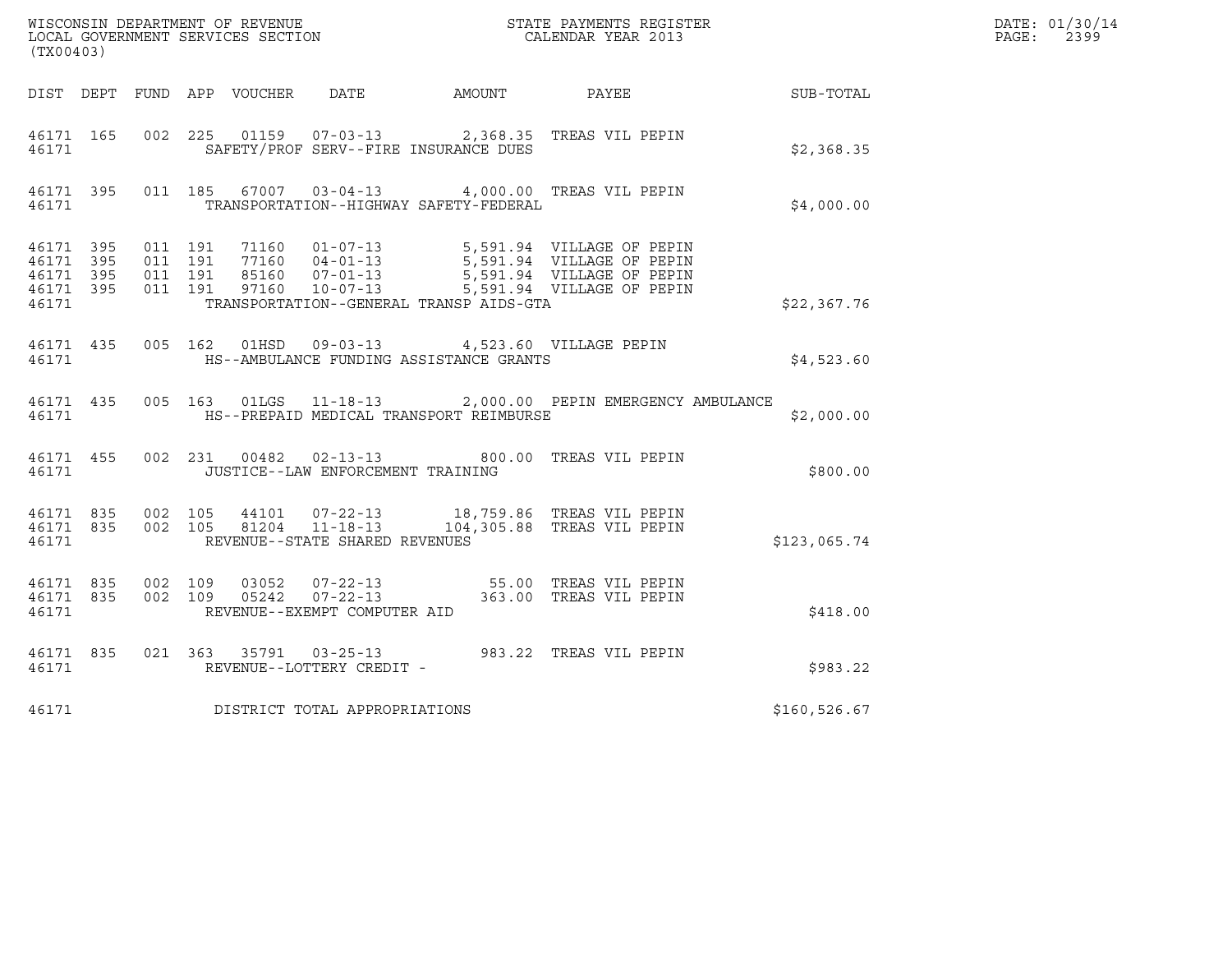| (TX00403)                                                 |                   |  |                                   |                                                                                                    | WISCONSIN DEPARTMENT OF REVENUE<br>LOCAL GOVERNMENT SERVICES SECTION TERMS CONFINING THE CALENDAR YEAR 2013                                                                                                                                                                                     |                                                        | DATE: 01/30/14<br>PAGE: 2399 |
|-----------------------------------------------------------|-------------------|--|-----------------------------------|----------------------------------------------------------------------------------------------------|-------------------------------------------------------------------------------------------------------------------------------------------------------------------------------------------------------------------------------------------------------------------------------------------------|--------------------------------------------------------|------------------------------|
|                                                           |                   |  |                                   |                                                                                                    |                                                                                                                                                                                                                                                                                                 | DIST DEPT FUND APP VOUCHER DATE AMOUNT PAYEE SUB-TOTAL |                              |
| 46171 165                                                 | 46171             |  |                                   | SAFETY/PROF SERV--FIRE INSURANCE DUES                                                              | 002 225 01159 07-03-13 2,368.35 TREAS VIL PEPIN                                                                                                                                                                                                                                                 | \$2,368.35                                             |                              |
| 46171 395                                                 | 46171 and $\sim$  |  |                                   | TRANSPORTATION--HIGHWAY SAFETY-FEDERAL                                                             | 011 185 67007 03-04-13 4,000.00 TREAS VIL PEPIN                                                                                                                                                                                                                                                 | \$4,000.00                                             |                              |
| 46171 395<br>46171 395<br>46171 395<br>46171 395<br>46171 |                   |  |                                   | TRANSPORTATION--GENERAL TRANSP AIDS-GTA                                                            |                                                                                                                                                                                                                                                                                                 | \$22,367.76                                            |                              |
| 46171                                                     |                   |  |                                   | 46171 435 005 162 01HSD 09-03-13 4,523.60 VILLAGE PEPIN<br>HS--AMBULANCE FUNDING ASSISTANCE GRANTS |                                                                                                                                                                                                                                                                                                 | \$4,523.60                                             |                              |
|                                                           |                   |  |                                   | 46171 MES--PREPAID MEDICAL TRANSPORT REIMBURSE                                                     | 46171 435 005 163 01LGS 11-18-13 2,000.00 PEPIN EMERGENCY AMBULANCE                                                                                                                                                                                                                             | \$2,000.00                                             |                              |
|                                                           | 46171 and $\sim$  |  | JUSTICE--LAW ENFORCEMENT TRAINING |                                                                                                    | 46171 455 002 231 00482 02-13-13 800.00 TREAS VIL PEPIN                                                                                                                                                                                                                                         | \$800.00                                               |                              |
| 46171                                                     |                   |  | REVENUE--STATE SHARED REVENUES    |                                                                                                    | $\begin{array}{cccc} 4\,6\,171 & 83\,5 & 002 & 105 & 44\,101 & 07\,\texttt{-22-13} & 18\,,759\,.86 & \texttt{TREAS}\ \texttt{VIL}\ \texttt{PEPIN} \\ 4\,6\,171 & 83\,5 & 002 & 105 & 812\,04 & 11\,\texttt{-18-13} & 104\,,305\,.88 & \texttt{TREAS}\ \texttt{VIL}\ \texttt{PEPIN} \end{array}$ | \$123,065.74                                           |                              |
| 46171 835<br>46171                                        | 46171 835 002 109 |  | REVENUE--EXEMPT COMPUTER AID      |                                                                                                    | 002 109 03052 07-22-13 55.00 TREAS VIL PEPIN<br>002 109 05242 07-22-13 363.00 TREAS VIL PEPIN                                                                                                                                                                                                   | \$418.00                                               |                              |
| 46171                                                     |                   |  | REVENUE--LOTTERY CREDIT -         |                                                                                                    | 46171 835 021 363 35791 03-25-13 983.22 TREAS VIL PEPIN                                                                                                                                                                                                                                         | \$983.22                                               |                              |
| 46171                                                     |                   |  | DISTRICT TOTAL APPROPRIATIONS     |                                                                                                    |                                                                                                                                                                                                                                                                                                 | \$160,526.67                                           |                              |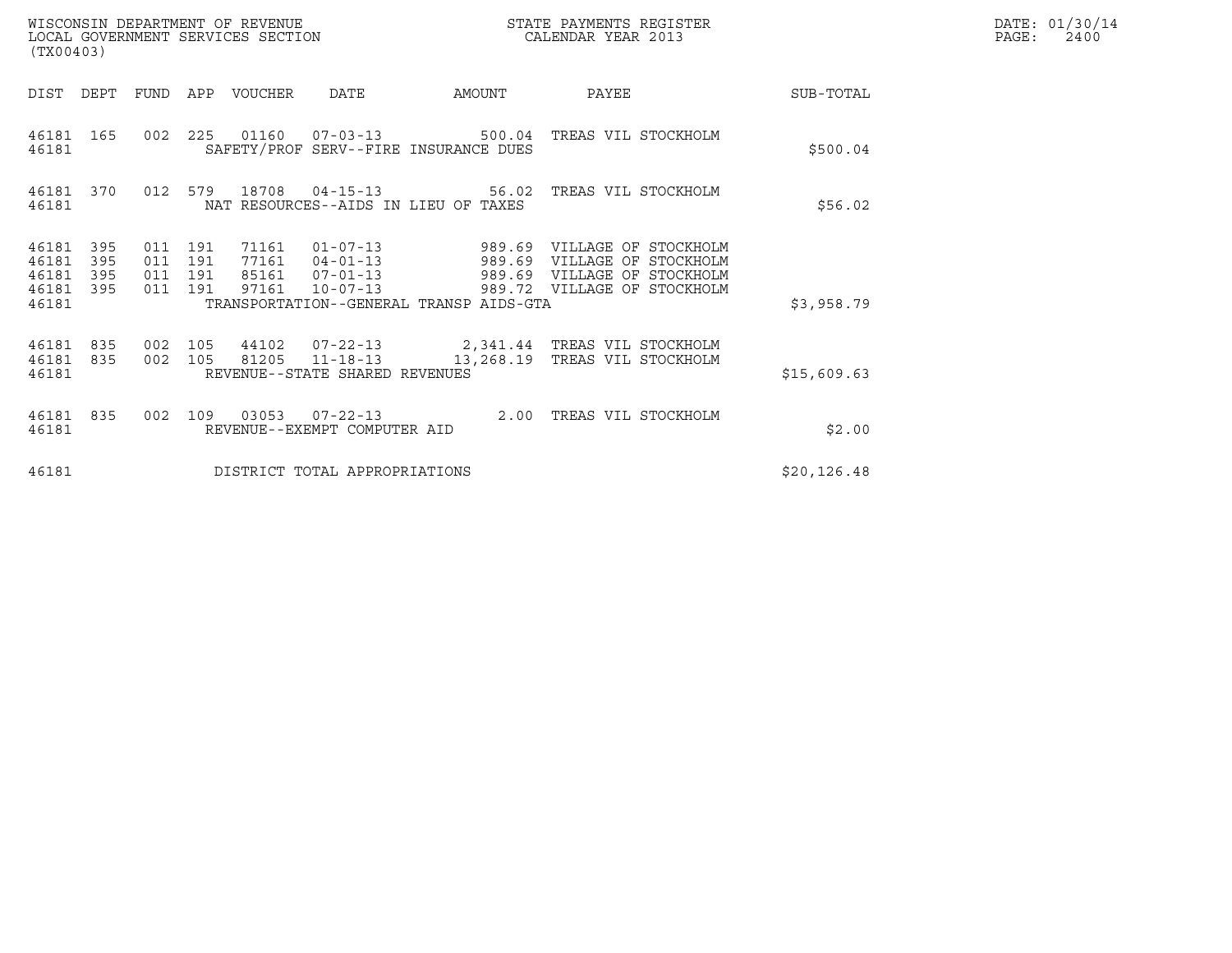| WISCONSIN DEPARTMENT OF REVENUE<br>LOCAL GOVERNMENT SERVICES SECTION<br>(TX00403) |                                          |                                                                                      | STATE PAYMENTS REGISTER<br>CALENDAR YEAR 2013 |                                                                                                            |              | DATE: 01/30/14<br>$\mathtt{PAGE}$ :<br>2400 |
|-----------------------------------------------------------------------------------|------------------------------------------|--------------------------------------------------------------------------------------|-----------------------------------------------|------------------------------------------------------------------------------------------------------------|--------------|---------------------------------------------|
| DEPT<br>DIST                                                                      | <b>FUND</b><br>APP                       | <b>DATE</b><br>VOUCHER                                                               | AMOUNT                                        | PAYEE                                                                                                      | SUB-TOTAL    |                                             |
| 46181 165<br>46181                                                                | 225<br>002                               | 01160<br>SAFETY/PROF SERV--FIRE INSURANCE DUES                                       |                                               | 07-03-13 500.04 TREAS VIL STOCKHOLM                                                                        | \$500.04     |                                             |
| 46181 370<br>46181                                                                | 012 579                                  | 18708<br>NAT RESOURCES--AIDS IN LIEU OF TAXES                                        |                                               | 04-15-13 56.02 TREAS VIL STOCKHOLM                                                                         | \$56.02      |                                             |
| 46181<br>395<br>46181<br>395<br>46181<br>395<br>46181 395                         | 011 191<br>011 191<br>011 191<br>011 191 | 71161<br>77161<br>$04 - 01 - 13$ 989.69<br>85161 07-01-13<br>97161<br>$10 - 07 - 13$ | $01 - 07 - 13$ 989.69                         | VILLAGE OF STOCKHOLM<br>VILLAGE OF STOCKHOLM<br>989.69 VILLAGE OF STOCKHOLM<br>989.72 VILLAGE OF STOCKHOLM |              |                                             |
| 46181                                                                             |                                          | TRANSPORTATION--GENERAL TRANSP AIDS-GTA                                              |                                               |                                                                                                            | \$3,958.79   |                                             |
| 46181<br>835<br>46181 835<br>46181                                                | 105<br>002<br>002<br>105                 | 44102<br>81205 11-18-13<br>REVENUE--STATE SHARED REVENUES                            | 13,268.19                                     | 07-22-13  2,341.44 TREAS VIL STOCKHOLM<br>TREAS VIL STOCKHOLM                                              | \$15,609.63  |                                             |
| 46181 835<br>46181                                                                | 002<br>109                               | 03053<br>$07 - 22 - 13$<br>REVENUE--EXEMPT COMPUTER AID                              |                                               | 2.00 TREAS VIL STOCKHOLM                                                                                   | \$2.00       |                                             |
| 46181                                                                             |                                          | DISTRICT TOTAL APPROPRIATIONS                                                        |                                               |                                                                                                            | \$20, 126.48 |                                             |